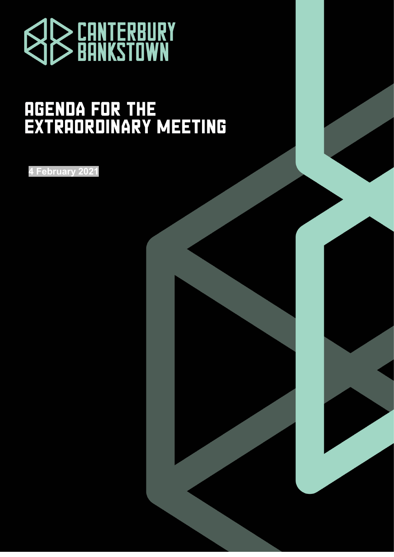

# **AGENDA FOR THE<br>EXTRAORDINARY MEETING**

**4 February 2021**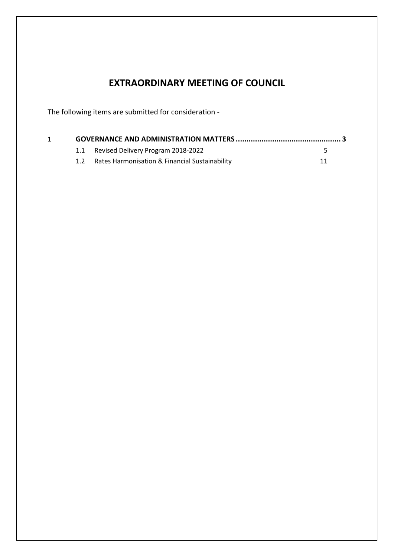# **EXTRAORDINARY MEETING OF COUNCIL**

The following items are submitted for consideration -

|  | 1.1 Revised Delivery Program 2018-2022         |    |
|--|------------------------------------------------|----|
|  | Rates Harmonisation & Financial Sustainability | 11 |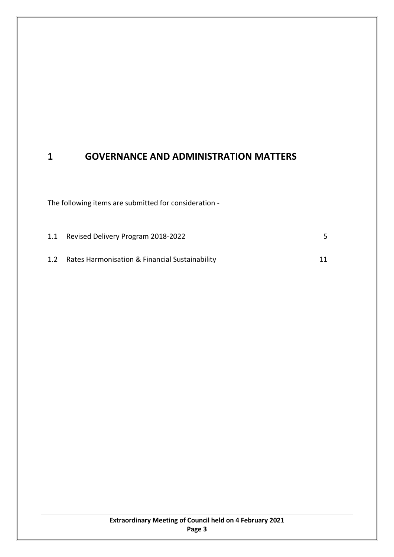# <span id="page-2-0"></span>**1 GOVERNANCE AND ADMINISTRATION MATTERS**

The following items are submitted for consideration -

| 1.1 | Revised Delivery Program 2018-2022             |    |
|-----|------------------------------------------------|----|
| 1.2 | Rates Harmonisation & Financial Sustainability | 11 |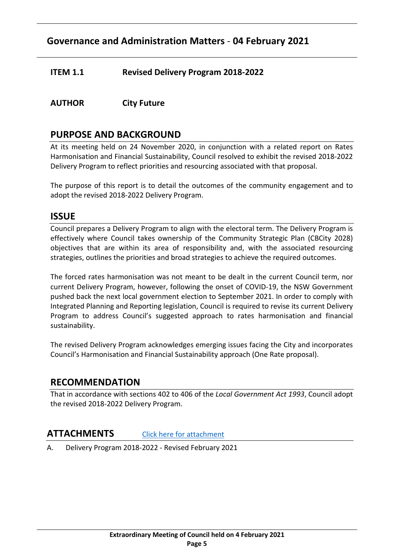# **Governance and Administration Matters** - **04 February 2021**

# <span id="page-4-0"></span>**ITEM 1.1 Revised Delivery Program 2018-2022**

# **AUTHOR City Future**

# **PURPOSE AND BACKGROUND**

At its meeting held on 24 November 2020, in conjunction with a related report on Rates Harmonisation and Financial Sustainability, Council resolved to exhibit the revised 2018-2022 Delivery Program to reflect priorities and resourcing associated with that proposal.

The purpose of this report is to detail the outcomes of the community engagement and to adopt the revised 2018-2022 Delivery Program.

# **ISSUE**

Council prepares a Delivery Program to align with the electoral term. The Delivery Program is effectively where Council takes ownership of the Community Strategic Plan (CBCity 2028) objectives that are within its area of responsibility and, with the associated resourcing strategies, outlines the priorities and broad strategies to achieve the required outcomes.

The forced rates harmonisation was not meant to be dealt in the current Council term, nor current Delivery Program, however, following the onset of COVID-19, the NSW Government pushed back the next local government election to September 2021. In order to comply with Integrated Planning and Reporting legislation, Council is required to revise its current Delivery Program to address Council's suggested approach to rates harmonisation and financial sustainability.

The revised Delivery Program acknowledges emerging issues facing the City and incorporates Council's Harmonisation and Financial Sustainability approach (One Rate proposal).

# **RECOMMENDATION**

That in accordance with sections 402 to 406 of the *Local Government Act 1993*, Council adopt the revised 2018-2022 Delivery Program.

# **ATTACHMENTS** [Click here for attachment](http://webdocs.bankstown.nsw.gov.au/api/publish?documentPath=aHR0cDovL2lzaGFyZS9zaXRlcy9Hb3Zlcm5hbmNlL0NvdW5jaWwgTWVldGluZ3MvT3JkaW5hcnkgTWVldGluZ3MvNC4yLjIxIExpbmtlZCBBdHRhY2ggQSAtIERlbGl2ZXJ5IFByb2dyYW0gMjAxOC0yMDIyLnBkZg==&title=4.2.21%20Linked%20Attach%20A%20-%20Delivery%20Program%202018-2022.pdf)

A. Delivery Program 2018-2022 - Revised February 2021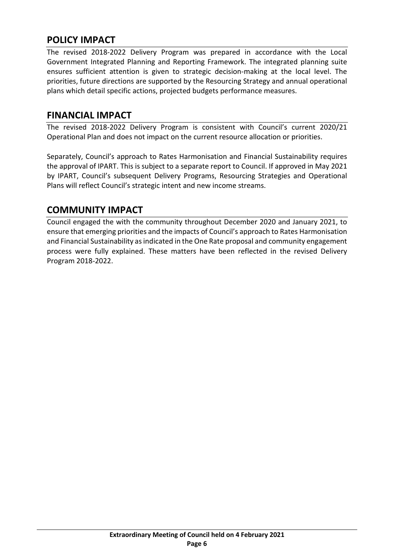# **POLICY IMPACT**

The revised 2018-2022 Delivery Program was prepared in accordance with the Local Government Integrated Planning and Reporting Framework. The integrated planning suite ensures sufficient attention is given to strategic decision-making at the local level. The priorities, future directions are supported by the Resourcing Strategy and annual operational plans which detail specific actions, projected budgets performance measures.

# **FINANCIAL IMPACT**

The revised 2018-2022 Delivery Program is consistent with Council's current 2020/21 Operational Plan and does not impact on the current resource allocation or priorities.

Separately, Council's approach to Rates Harmonisation and Financial Sustainability requires the approval of IPART. This is subject to a separate report to Council. If approved in May 2021 by IPART, Council's subsequent Delivery Programs, Resourcing Strategies and Operational Plans will reflect Council's strategic intent and new income streams.

# **COMMUNITY IMPACT**

Council engaged the with the community throughout December 2020 and January 2021, to ensure that emerging priorities and the impacts of Council's approach to Rates Harmonisation and Financial Sustainability as indicated in the One Rate proposal and community engagement process were fully explained. These matters have been reflected in the revised Delivery Program 2018-2022.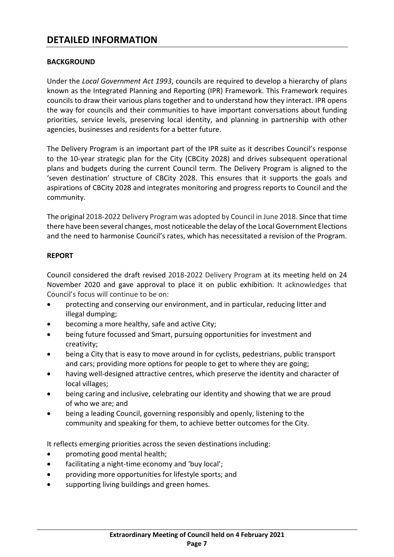# **DETAILED INFORMATION**

#### **BACKGROUND**

Under the *Local Government Act 1993*, councils are required to develop a hierarchy of plans known as the Integrated Planning and Reporting (IPR) Framework. This Framework requires councils to draw their various plans together and to understand how they interact. IPR opens the way for councils and their communities to have important conversations about funding priorities, service levels, preserving local identity, and planning in partnership with other agencies, businesses and residents for a better future.

The Delivery Program is an important part of the IPR suite as it describes Council's response to the 10-year strategic plan for the City (CBCity 2028) and drives subsequent operational plans and budgets during the current Council term. The Delivery Program is aligned to the 'seven destination' structure of CBCity 2028. This ensures that it supports the goals and aspirations of CBCity 2028 and integrates monitoring and progress reports to Council and the community.

The original 2018-2022 Delivery Program was adopted by Council in June 2018. Since that time there have been several changes, most noticeable the delay of the Local Government Elections and the need to harmonise Council's rates, which has necessitated a revision of the Program.

#### **REPORT**

Council considered the draft revised 2018-2022 Delivery Program at its meeting held on 24 November 2020 and gave approval to place it on public exhibition. It acknowledges that Council's focus will continue to be on:

- protecting and conserving our environment, and in particular, reducing litter and illegal dumping;
- becoming a more healthy, safe and active City;
- being future focussed and Smart, pursuing opportunities for investment and creativity;
- being a City that is easy to move around in for cyclists, pedestrians, public transport and cars; providing more options for people to get to where they are going;
- having well-designed attractive centres, which preserve the identity and character of local villages;
- being caring and inclusive, celebrating our identity and showing that we are proud of who we are; and
- being a leading Council, governing responsibly and openly, listening to the community and speaking for them, to achieve better outcomes for the City.

It reflects emerging priorities across the seven destinations including:

- promoting good mental health;
- facilitating a night-time economy and 'buy local';
- providing more opportunities for lifestyle sports; and
- supporting living buildings and green homes.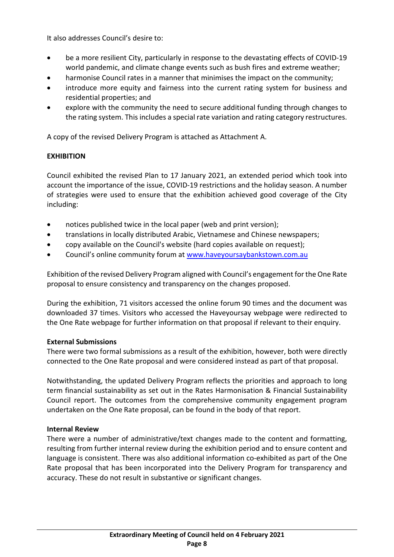It also addresses Council's desire to:

- be a more resilient City, particularly in response to the devastating effects of COVID-19 world pandemic, and climate change events such as bush fires and extreme weather;
- harmonise Council rates in a manner that minimises the impact on the community;
- introduce more equity and fairness into the current rating system for business and residential properties; and
- explore with the community the need to secure additional funding through changes to the rating system. This includes a special rate variation and rating category restructures.

A copy of the revised Delivery Program is attached as Attachment A.

#### **EXHIBITION**

Council exhibited the revised Plan to 17 January 2021, an extended period which took into account the importance of the issue, COVID-19 restrictions and the holiday season. A number of strategies were used to ensure that the exhibition achieved good coverage of the City including:

- notices published twice in the local paper (web and print version);
- translations in locally distributed Arabic, Vietnamese and Chinese newspapers;
- copy available on the Council's website (hard copies available on request);
- Council's online community forum at [www.haveyoursaybankstown.com.au](http://www.haveyoursaybankstown.com.au/)

Exhibition of the revised Delivery Program aligned with Council's engagement for the One Rate proposal to ensure consistency and transparency on the changes proposed.

During the exhibition, 71 visitors accessed the online forum 90 times and the document was downloaded 37 times. Visitors who accessed the Haveyoursay webpage were redirected to the One Rate webpage for further information on that proposal if relevant to their enquiry.

#### **External Submissions**

There were two formal submissions as a result of the exhibition, however, both were directly connected to the One Rate proposal and were considered instead as part of that proposal.

Notwithstanding, the updated Delivery Program reflects the priorities and approach to long term financial sustainability as set out in the Rates Harmonisation & Financial Sustainability Council report. The outcomes from the comprehensive community engagement program undertaken on the One Rate proposal, can be found in the body of that report.

#### **Internal Review**

There were a number of administrative/text changes made to the content and formatting, resulting from further internal review during the exhibition period and to ensure content and language is consistent. There was also additional information co-exhibited as part of the One Rate proposal that has been incorporated into the Delivery Program for transparency and accuracy. These do not result in substantive or significant changes.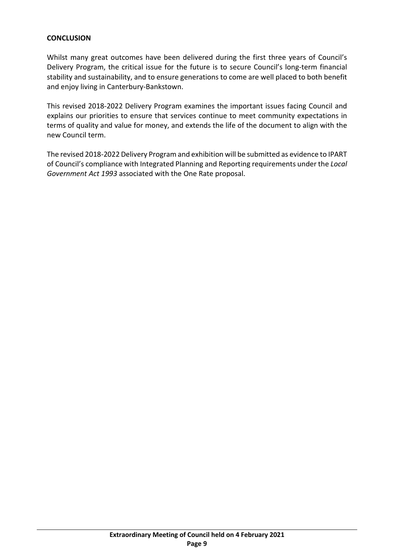#### **CONCLUSION**

Whilst many great outcomes have been delivered during the first three years of Council's Delivery Program, the critical issue for the future is to secure Council's long-term financial stability and sustainability, and to ensure generations to come are well placed to both benefit and enjoy living in Canterbury-Bankstown.

This revised 2018-2022 Delivery Program examines the important issues facing Council and explains our priorities to ensure that services continue to meet community expectations in terms of quality and value for money, and extends the life of the document to align with the new Council term.

The revised 2018-2022 Delivery Program and exhibition will be submitted as evidence to IPART of Council's compliance with Integrated Planning and Reporting requirements under the *Local Government Act 1993* associated with the One Rate proposal.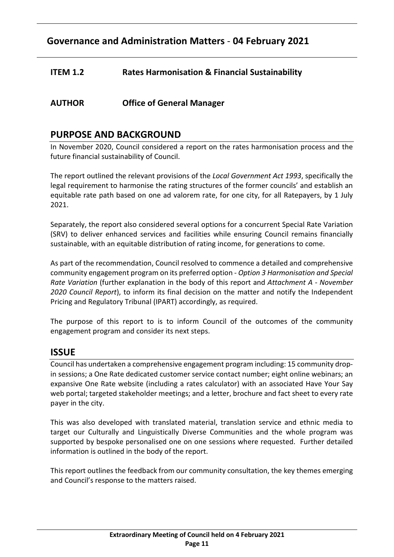# **Governance and Administration Matters** - **04 February 2021**

# <span id="page-10-0"></span>**ITEM 1.2 Rates Harmonisation & Financial Sustainability**

# **AUTHOR Office of General Manager**

# **PURPOSE AND BACKGROUND**

In November 2020, Council considered a report on the rates harmonisation process and the future financial sustainability of Council.

The report outlined the relevant provisions of the *Local Government Act 1993*, specifically the legal requirement to harmonise the rating structures of the former councils' and establish an equitable rate path based on one ad valorem rate, for one city, for all Ratepayers, by 1 July 2021.

Separately, the report also considered several options for a concurrent Special Rate Variation (SRV) to deliver enhanced services and facilities while ensuring Council remains financially sustainable, with an equitable distribution of rating income, for generations to come.

As part of the recommendation, Council resolved to commence a detailed and comprehensive community engagement program on its preferred option - *Option 3 Harmonisation and Special Rate Variation* (further explanation in the body of this report and *Attachment A - November 2020 Council Report*), to inform its final decision on the matter and notify the Independent Pricing and Regulatory Tribunal (IPART) accordingly, as required.

The purpose of this report to is to inform Council of the outcomes of the community engagement program and consider its next steps.

# **ISSUE**

Council has undertaken a comprehensive engagement program including: 15 community dropin sessions; a One Rate dedicated customer service contact number; eight online webinars; an expansive One Rate website (including a rates calculator) with an associated Have Your Say web portal; targeted stakeholder meetings; and a letter, brochure and fact sheet to every rate payer in the city.

This was also developed with translated material, translation service and ethnic media to target our Culturally and Linguistically Diverse Communities and the whole program was supported by bespoke personalised one on one sessions where requested. Further detailed information is outlined in the body of the report.

This report outlines the feedback from our community consultation, the key themes emerging and Council's response to the matters raised.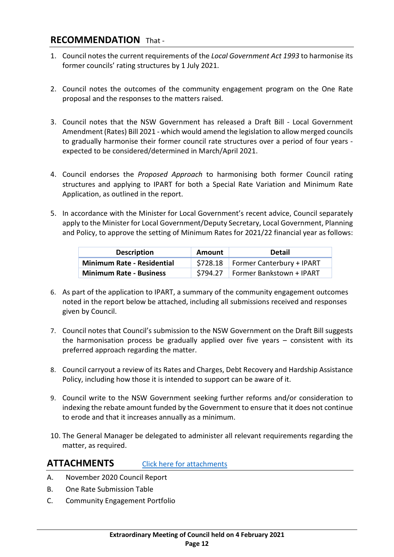# **RECOMMENDATION** That -

- 1. Council notes the current requirements of the *Local Government Act 1993* to harmonise its former councils' rating structures by 1 July 2021.
- 2. Council notes the outcomes of the community engagement program on the One Rate proposal and the responses to the matters raised.
- 3. Council notes that the NSW Government has released a Draft Bill Local Government Amendment (Rates) Bill 2021 - which would amend the legislation to allow merged councils to gradually harmonise their former council rate structures over a period of four years expected to be considered/determined in March/April 2021.
- 4. Council endorses the *Proposed Approach* to harmonising both former Council rating structures and applying to IPART for both a Special Rate Variation and Minimum Rate Application, as outlined in the report.
- 5. In accordance with the Minister for Local Government's recent advice, Council separately apply to the Minister for Local Government/Deputy Secretary, Local Government, Planning and Policy, to approve the setting of Minimum Rates for 2021/22 financial year as follows:

| <b>Description</b>                | Amount   | Detail                    |
|-----------------------------------|----------|---------------------------|
| <b>Minimum Rate - Residential</b> | \$728.18 | Former Canterbury + IPART |
| <b>Minimum Rate - Business</b>    | \$794.27 | Former Bankstown + IPART  |

- 6. As part of the application to IPART, a summary of the community engagement outcomes noted in the report below be attached, including all submissions received and responses given by Council.
- 7. Council notes that Council's submission to the NSW Government on the Draft Bill suggests the harmonisation process be gradually applied over five years – consistent with its preferred approach regarding the matter.
- 8. Council carryout a review of its Rates and Charges, Debt Recovery and Hardship Assistance Policy, including how those it is intended to support can be aware of it.
- 9. Council write to the NSW Government seeking further reforms and/or consideration to indexing the rebate amount funded by the Government to ensure that it does not continue to erode and that it increases annually as a minimum.
- 10. The General Manager be delegated to administer all relevant requirements regarding the matter, as required.

# **ATTACHMENTS** [Click here for attachments](http://webdocs.bankstown.nsw.gov.au/api/publish?documentPath=aHR0cDovL2lzaGFyZS9zaXRlcy9Hb3Zlcm5hbmNlL0NvdW5jaWwgTWVldGluZ3MvT3JkaW5hcnkgTWVldGluZ3MvNC4yLjIxIExpbmtlZCBBdHRhY2htZW50IC0gUmF0ZXMgSGFybW9uaXNhdGlvbi5wZGY=&title=4.2.21%20Linked%20Attachment%20-%20Rates%20Harmonisation.pdf)

- A. November 2020 Council Report
- B. One Rate Submission Table
- C. Community Engagement Portfolio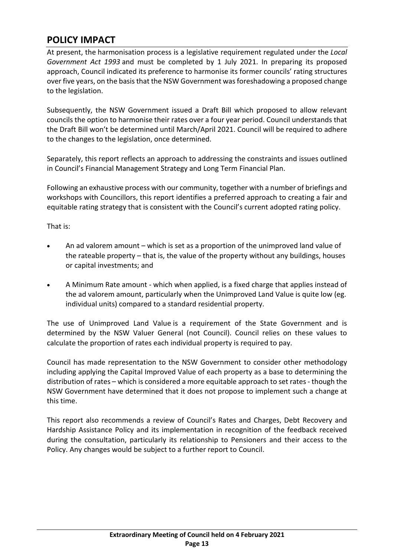# **POLICY IMPACT**

At present, the harmonisation process is a legislative requirement regulated under the *Local Government Act 1993* and must be completed by 1 July 2021. In preparing its proposed approach, Council indicated its preference to harmonise its former councils' rating structures over five years, on the basis that the NSW Government was foreshadowing a proposed change to the legislation.

Subsequently, the NSW Government issued a Draft Bill which proposed to allow relevant councils the option to harmonise their rates over a four year period. Council understands that the Draft Bill won't be determined until March/April 2021. Council will be required to adhere to the changes to the legislation, once determined.

Separately, this report reflects an approach to addressing the constraints and issues outlined in Council's Financial Management Strategy and Long Term Financial Plan.

Following an exhaustive process with our community, together with a number of briefings and workshops with Councillors, this report identifies a preferred approach to creating a fair and equitable rating strategy that is consistent with the Council's current adopted rating policy.

That is:

- An ad valorem amount which is set as a proportion of the unimproved land value of the rateable property – that is, the value of the property without any buildings, houses or capital investments; and
- A Minimum Rate amount which when applied, is a fixed charge that applies instead of the ad valorem amount, particularly when the Unimproved Land Value is quite low (eg. individual units) compared to a standard residential property.

The use of Unimproved Land Value is a requirement of the State Government and is determined by the NSW Valuer General (not Council). Council relies on these values to calculate the proportion of rates each individual property is required to pay.

Council has made representation to the NSW Government to consider other methodology including applying the Capital Improved Value of each property as a base to determining the distribution of rates – which is considered a more equitable approach to set rates - though the NSW Government have determined that it does not propose to implement such a change at this time.

This report also recommends a review of Council's Rates and Charges, Debt Recovery and Hardship Assistance Policy and its implementation in recognition of the feedback received during the consultation, particularly its relationship to Pensioners and their access to the Policy. Any changes would be subject to a further report to Council.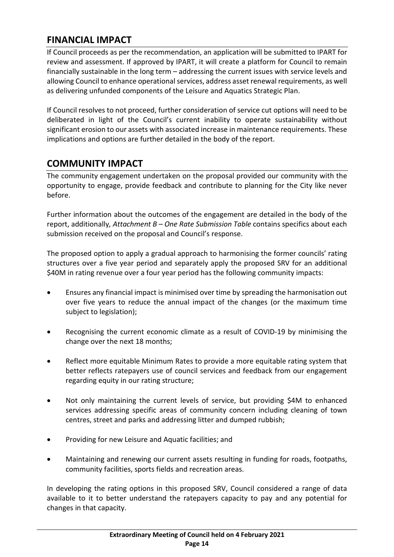# **FINANCIAL IMPACT**

If Council proceeds as per the recommendation, an application will be submitted to IPART for review and assessment. If approved by IPART, it will create a platform for Council to remain financially sustainable in the long term – addressing the current issues with service levels and allowing Council to enhance operational services, address asset renewal requirements, as well as delivering unfunded components of the Leisure and Aquatics Strategic Plan.

If Council resolves to not proceed, further consideration of service cut options will need to be deliberated in light of the Council's current inability to operate sustainability without significant erosion to our assets with associated increase in maintenance requirements. These implications and options are further detailed in the body of the report.

# **COMMUNITY IMPACT**

The community engagement undertaken on the proposal provided our community with the opportunity to engage, provide feedback and contribute to planning for the City like never before.

Further information about the outcomes of the engagement are detailed in the body of the report, additionally*, Attachment B – One Rate Submission Table* contains specifics about each submission received on the proposal and Council's response.

The proposed option to apply a gradual approach to harmonising the former councils' rating structures over a five year period and separately apply the proposed SRV for an additional \$40M in rating revenue over a four year period has the following community impacts:

- Ensures any financial impact is minimised over time by spreading the harmonisation out over five years to reduce the annual impact of the changes (or the maximum time subject to legislation);
- Recognising the current economic climate as a result of COVID-19 by minimising the change over the next 18 months;
- Reflect more equitable Minimum Rates to provide a more equitable rating system that better reflects ratepayers use of council services and feedback from our engagement regarding equity in our rating structure;
- Not only maintaining the current levels of service, but providing \$4M to enhanced services addressing specific areas of community concern including cleaning of town centres, street and parks and addressing litter and dumped rubbish;
- Providing for new Leisure and Aquatic facilities; and
- Maintaining and renewing our current assets resulting in funding for roads, footpaths, community facilities, sports fields and recreation areas.

In developing the rating options in this proposed SRV, Council considered a range of data available to it to better understand the ratepayers capacity to pay and any potential for changes in that capacity.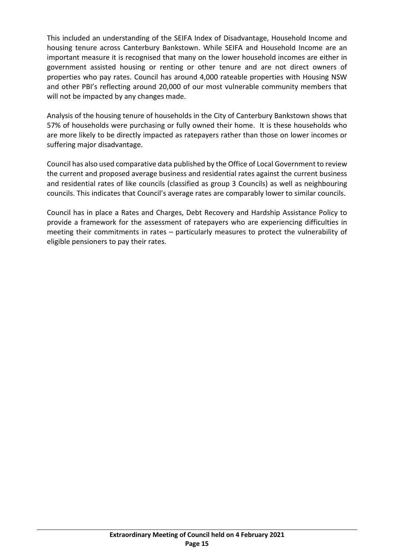This included an understanding of the SEIFA Index of Disadvantage, Household Income and housing tenure across Canterbury Bankstown. While SEIFA and Household Income are an important measure it is recognised that many on the lower household incomes are either in government assisted housing or renting or other tenure and are not direct owners of properties who pay rates. Council has around 4,000 rateable properties with Housing NSW and other PBI's reflecting around 20,000 of our most vulnerable community members that will not be impacted by any changes made.

Analysis of the housing tenure of households in the City of Canterbury Bankstown shows that 57% of households were purchasing or fully owned their home. It is these households who are more likely to be directly impacted as ratepayers rather than those on lower incomes or suffering major disadvantage.

Council has also used comparative data published by the Office of Local Government to review the current and proposed average business and residential rates against the current business and residential rates of like councils (classified as group 3 Councils) as well as neighbouring councils. This indicates that Council's average rates are comparably lower to similar councils.

Council has in place a Rates and Charges, Debt Recovery and Hardship Assistance Policy to provide a framework for the assessment of ratepayers who are experiencing difficulties in meeting their commitments in rates – particularly measures to protect the vulnerability of eligible pensioners to pay their rates.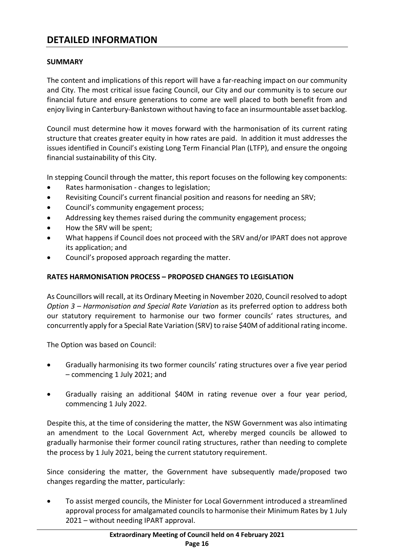# **DETAILED INFORMATION**

#### **SUMMARY**

The content and implications of this report will have a far-reaching impact on our community and City. The most critical issue facing Council, our City and our community is to secure our financial future and ensure generations to come are well placed to both benefit from and enjoy living in Canterbury-Bankstown without having to face an insurmountable asset backlog.

Council must determine how it moves forward with the harmonisation of its current rating structure that creates greater equity in how rates are paid. In addition it must addresses the issues identified in Council's existing Long Term Financial Plan (LTFP), and ensure the ongoing financial sustainability of this City.

In stepping Council through the matter, this report focuses on the following key components:

- Rates harmonisation changes to legislation;
- Revisiting Council's current financial position and reasons for needing an SRV;
- Council's community engagement process;
- Addressing key themes raised during the community engagement process;
- How the SRV will be spent;
- What happens if Council does not proceed with the SRV and/or IPART does not approve its application; and
- Council's proposed approach regarding the matter.

#### **RATES HARMONISATION PROCESS – PROPOSED CHANGES TO LEGISLATION**

As Councillors will recall, at its Ordinary Meeting in November 2020, Council resolved to adopt *Option 3 – Harmonisation and Special Rate Variation* as its preferred option to address both our statutory requirement to harmonise our two former councils' rates structures, and concurrently apply for a Special Rate Variation (SRV) to raise \$40M of additional rating income.

The Option was based on Council:

- Gradually harmonising its two former councils' rating structures over a five year period – commencing 1 July 2021; and
- Gradually raising an additional \$40M in rating revenue over a four year period, commencing 1 July 2022.

Despite this, at the time of considering the matter, the NSW Government was also intimating an amendment to the Local Government Act, whereby merged councils be allowed to gradually harmonise their former council rating structures, rather than needing to complete the process by 1 July 2021, being the current statutory requirement.

Since considering the matter, the Government have subsequently made/proposed two changes regarding the matter, particularly:

• To assist merged councils, the Minister for Local Government introduced a streamlined approval process for amalgamated councils to harmonise their Minimum Rates by 1 July 2021 – without needing IPART approval.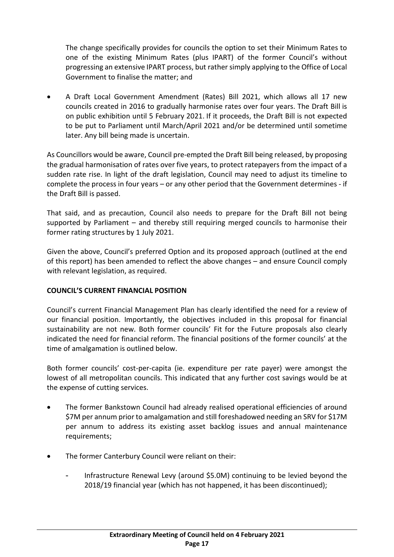The change specifically provides for councils the option to set their Minimum Rates to one of the existing Minimum Rates (plus IPART) of the former Council's without progressing an extensive IPART process, but rather simply applying to the Office of Local Government to finalise the matter; and

• A Draft Local Government Amendment (Rates) Bill 2021, which allows all 17 new councils created in 2016 to gradually harmonise rates over four years. The Draft Bill is on public exhibition until 5 February 2021. If it proceeds, the Draft Bill is not expected to be put to Parliament until March/April 2021 and/or be determined until sometime later. Any bill being made is uncertain.

As Councillors would be aware, Council pre-empted the Draft Bill being released, by proposing the gradual harmonisation of rates over five years, to protect ratepayers from the impact of a sudden rate rise. In light of the draft legislation, Council may need to adjust its timeline to complete the process in four years – or any other period that the Government determines - if the Draft Bill is passed.

That said, and as precaution, Council also needs to prepare for the Draft Bill not being supported by Parliament – and thereby still requiring merged councils to harmonise their former rating structures by 1 July 2021.

Given the above, Council's preferred Option and its proposed approach (outlined at the end of this report) has been amended to reflect the above changes – and ensure Council comply with relevant legislation, as required.

# **COUNCIL'S CURRENT FINANCIAL POSITION**

Council's current Financial Management Plan has clearly identified the need for a review of our financial position. Importantly, the objectives included in this proposal for financial sustainability are not new. Both former councils' Fit for the Future proposals also clearly indicated the need for financial reform. The financial positions of the former councils' at the time of amalgamation is outlined below.

Both former councils' cost-per-capita (ie. expenditure per rate payer) were amongst the lowest of all metropolitan councils. This indicated that any further cost savings would be at the expense of cutting services.

- The former Bankstown Council had already realised operational efficiencies of around \$7M per annum prior to amalgamation and still foreshadowed needing an SRV for \$17M per annum to address its existing asset backlog issues and annual maintenance requirements;
- The former Canterbury Council were reliant on their:
	- Infrastructure Renewal Levy (around \$5.0M) continuing to be levied beyond the 2018/19 financial year (which has not happened, it has been discontinued);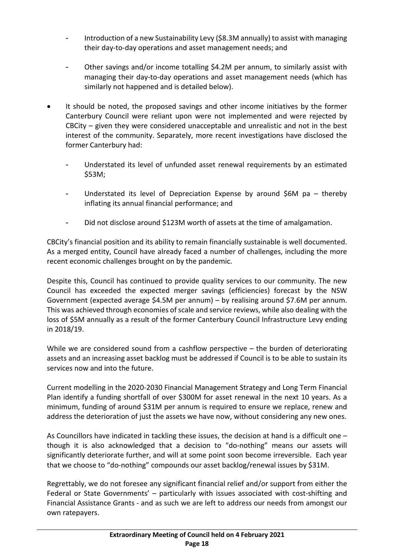- Introduction of a new Sustainability Levy (\$8.3M annually) to assist with managing their day-to-day operations and asset management needs; and
- Other savings and/or income totalling \$4.2M per annum, to similarly assist with managing their day-to-day operations and asset management needs (which has similarly not happened and is detailed below).
- It should be noted, the proposed savings and other income initiatives by the former Canterbury Council were reliant upon were not implemented and were rejected by CBCity – given they were considered unacceptable and unrealistic and not in the best interest of the community. Separately, more recent investigations have disclosed the former Canterbury had:
	- Understated its level of unfunded asset renewal requirements by an estimated \$53M;
	- Understated its level of Depreciation Expense by around  $$6M$  pa thereby inflating its annual financial performance; and
	- Did not disclose around \$123M worth of assets at the time of amalgamation.

CBCity's financial position and its ability to remain financially sustainable is well documented. As a merged entity, Council have already faced a number of challenges, including the more recent economic challenges brought on by the pandemic.

Despite this, Council has continued to provide quality services to our community. The new Council has exceeded the expected merger savings (efficiencies) forecast by the NSW Government (expected average \$4.5M per annum) – by realising around \$7.6M per annum. This was achieved through economies of scale and service reviews, while also dealing with the loss of \$5M annually as a result of the former Canterbury Council Infrastructure Levy ending in 2018/19.

While we are considered sound from a cashflow perspective – the burden of deteriorating assets and an increasing asset backlog must be addressed if Council is to be able to sustain its services now and into the future.

Current modelling in the 2020-2030 Financial Management Strategy and Long Term Financial Plan identify a funding shortfall of over \$300M for asset renewal in the next 10 years. As a minimum, funding of around \$31M per annum is required to ensure we replace, renew and address the deterioration of just the assets we have now, without considering any new ones.

As Councillors have indicated in tackling these issues, the decision at hand is a difficult one – though it is also acknowledged that a decision to "do-nothing" means our assets will significantly deteriorate further, and will at some point soon become irreversible. Each year that we choose to "do-nothing" compounds our asset backlog/renewal issues by \$31M.

Regrettably, we do not foresee any significant financial relief and/or support from either the Federal or State Governments' – particularly with issues associated with cost-shifting and Financial Assistance Grants - and as such we are left to address our needs from amongst our own ratepayers.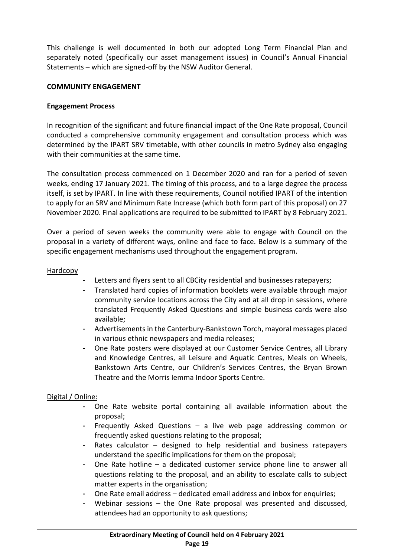This challenge is well documented in both our adopted Long Term Financial Plan and separately noted (specifically our asset management issues) in Council's Annual Financial Statements – which are signed-off by the NSW Auditor General.

#### **COMMUNITY ENGAGEMENT**

#### **Engagement Process**

In recognition of the significant and future financial impact of the One Rate proposal, Council conducted a comprehensive community engagement and consultation process which was determined by the IPART SRV timetable, with other councils in metro Sydney also engaging with their communities at the same time.

The consultation process commenced on 1 December 2020 and ran for a period of seven weeks, ending 17 January 2021. The timing of this process, and to a large degree the process itself, is set by IPART. In line with these requirements, Council notified IPART of the intention to apply for an SRV and Minimum Rate Increase (which both form part of this proposal) on 27 November 2020. Final applications are required to be submitted to IPART by 8 February 2021.

Over a period of seven weeks the community were able to engage with Council on the proposal in a variety of different ways, online and face to face. Below is a summary of the specific engagement mechanisms used throughout the engagement program.

#### **Hardcopy**

- Letters and flyers sent to all CBCity residential and businesses ratepayers;
- Translated hard copies of information booklets were available through major community service locations across the City and at all drop in sessions, where translated Frequently Asked Questions and simple business cards were also available;
- Advertisements in the Canterbury-Bankstown Torch, mayoral messages placed in various ethnic newspapers and media releases;
- One Rate posters were displayed at our Customer Service Centres, all Library and Knowledge Centres, all Leisure and Aquatic Centres, Meals on Wheels, Bankstown Arts Centre, our Children's Services Centres, the Bryan Brown Theatre and the Morris Iemma Indoor Sports Centre.

#### Digital / Online:

- One Rate website portal containing all available information about the proposal;
- Frequently Asked Questions  $-$  a live web page addressing common or frequently asked questions relating to the proposal;
- Rates calculator designed to help residential and business ratepayers understand the specific implications for them on the proposal;
- One Rate hotline a dedicated customer service phone line to answer all questions relating to the proposal, and an ability to escalate calls to subject matter experts in the organisation;
- One Rate email address dedicated email address and inbox for enquiries;
- Webinar sessions  $-$  the One Rate proposal was presented and discussed, attendees had an opportunity to ask questions;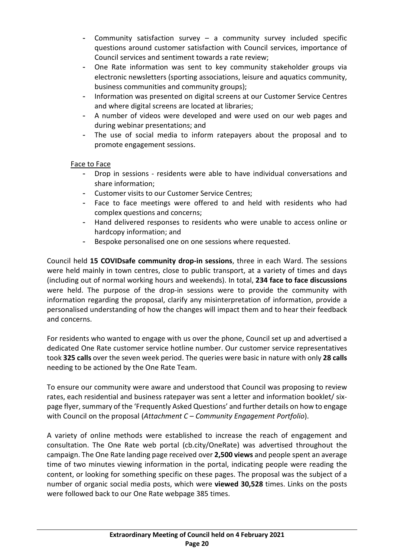- Community satisfaction survey a community survey included specific questions around customer satisfaction with Council services, importance of Council services and sentiment towards a rate review;
- One Rate information was sent to key community stakeholder groups via electronic newsletters (sporting associations, leisure and aquatics community, business communities and community groups);
- Information was presented on digital screens at our Customer Service Centres and where digital screens are located at libraries;
- A number of videos were developed and were used on our web pages and during webinar presentations; and
- The use of social media to inform ratepayers about the proposal and to promote engagement sessions.

## Face to Face

- Drop in sessions residents were able to have individual conversations and share information;
- Customer visits to our Customer Service Centres;
- Face to face meetings were offered to and held with residents who had complex questions and concerns;
- Hand delivered responses to residents who were unable to access online or hardcopy information; and
- Bespoke personalised one on one sessions where requested.

Council held **15 COVIDsafe community drop-in sessions**, three in each Ward. The sessions were held mainly in town centres, close to public transport, at a variety of times and days (including out of normal working hours and weekends). In total, **234 face to face discussions** were held. The purpose of the drop-in sessions were to provide the community with information regarding the proposal, clarify any misinterpretation of information, provide a personalised understanding of how the changes will impact them and to hear their feedback and concerns.

For residents who wanted to engage with us over the phone, Council set up and advertised a dedicated One Rate customer service hotline number. Our customer service representatives took **325 calls** over the seven week period. The queries were basic in nature with only **28 calls** needing to be actioned by the One Rate Team.

To ensure our community were aware and understood that Council was proposing to review rates, each residential and business ratepayer was sent a letter and information booklet/ sixpage flyer, summary of the 'Frequently Asked Questions' and further details on how to engage with Council on the proposal (*Attachment C – Community Engagement Portfolio*).

A variety of online methods were established to increase the reach of engagement and consultation. The One Rate web portal (cb.city/OneRate) was advertised throughout the campaign. The One Rate landing page received over **2,500 views** and people spent an average time of two minutes viewing information in the portal, indicating people were reading the content, or looking for something specific on these pages. The proposal was the subject of a number of organic social media posts, which were **viewed 30,528** times. Links on the posts were followed back to our One Rate webpage 385 times.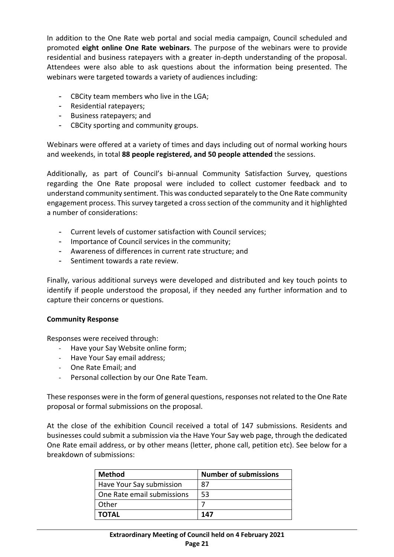In addition to the One Rate web portal and social media campaign, Council scheduled and promoted **eight online One Rate webinars**. The purpose of the webinars were to provide residential and business ratepayers with a greater in-depth understanding of the proposal. Attendees were also able to ask questions about the information being presented. The webinars were targeted towards a variety of audiences including:

- CBCity team members who live in the LGA;
- Residential ratepayers;
- Business ratepayers; and
- CBCity sporting and community groups.

Webinars were offered at a variety of times and days including out of normal working hours and weekends, in total **88 people registered, and 50 people attended** the sessions.

Additionally, as part of Council's bi-annual Community Satisfaction Survey, questions regarding the One Rate proposal were included to collect customer feedback and to understand community sentiment. This was conducted separately to the One Rate community engagement process. This survey targeted a cross section of the community and it highlighted a number of considerations:

- Current levels of customer satisfaction with Council services;
- Importance of Council services in the community;
- Awareness of differences in current rate structure; and
- Sentiment towards a rate review.

Finally, various additional surveys were developed and distributed and key touch points to identify if people understood the proposal, if they needed any further information and to capture their concerns or questions.

#### **Community Response**

Responses were received through:

- Have your Say Website online form;
- Have Your Say email address;
- One Rate Email; and
- Personal collection by our One Rate Team.

These responses were in the form of general questions, responses not related to the One Rate proposal or formal submissions on the proposal.

At the close of the exhibition Council received a total of 147 submissions. Residents and businesses could submit a submission via the Have Your Say web page, through the dedicated One Rate email address, or by other means (letter, phone call, petition etc). See below for a breakdown of submissions:

| <b>Method</b>              | <b>Number of submissions</b> |
|----------------------------|------------------------------|
| Have Your Say submission   | 87                           |
| One Rate email submissions | 53                           |
| Other                      |                              |
| ΤΟΤΑL                      | 147                          |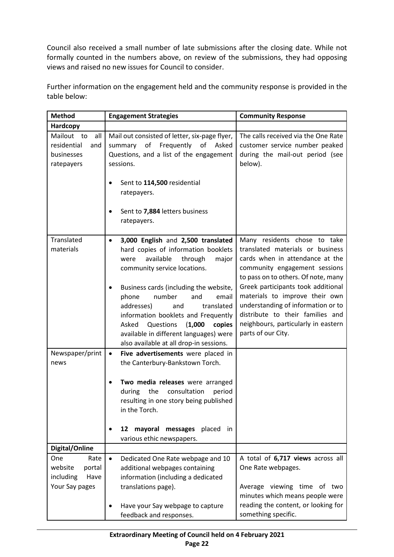Council also received a small number of late submissions after the closing date. While not formally counted in the numbers above, on review of the submissions, they had opposing views and raised no new issues for Council to consider.

Further information on the engagement held and the community response is provided in the table below:

| <b>Method</b>                                                       | <b>Engagement Strategies</b>                                                                                                                                                                                                              | <b>Community Response</b>                                                                                                                                                                                         |  |
|---------------------------------------------------------------------|-------------------------------------------------------------------------------------------------------------------------------------------------------------------------------------------------------------------------------------------|-------------------------------------------------------------------------------------------------------------------------------------------------------------------------------------------------------------------|--|
| Hardcopy                                                            |                                                                                                                                                                                                                                           |                                                                                                                                                                                                                   |  |
| Mailout to<br>all<br>residential<br>and<br>businesses<br>ratepayers | Mail out consisted of letter, six-page flyer,<br>of<br>Frequently<br>summary<br>of Asked<br>Questions, and a list of the engagement<br>sessions.<br>Sent to 114,500 residential<br>ratepayers.                                            | The calls received via the One Rate<br>customer service number peaked<br>during the mail-out period (see<br>below).                                                                                               |  |
|                                                                     | Sent to 7,884 letters business<br>ratepayers.                                                                                                                                                                                             |                                                                                                                                                                                                                   |  |
| Translated<br>materials                                             | 3,000 English and 2,500 translated<br>$\bullet$<br>hard copies of information booklets<br>available<br>through<br>major<br>were<br>community service locations.<br>Business cards (including the website,                                 | Many residents chose to take<br>translated materials or business<br>cards when in attendance at the<br>community engagement sessions<br>to pass on to others. Of note, many<br>Greek participants took additional |  |
|                                                                     | number<br>phone<br>and<br>email<br>translated<br>addresses)<br>and<br>information booklets and Frequently<br>Asked<br>Questions<br>(1,000)<br>copies<br>available in different languages) were<br>also available at all drop-in sessions. | materials to improve their own<br>understanding of information or to<br>distribute to their families and<br>neighbours, particularly in eastern<br>parts of our City.                                             |  |
| Newspaper/print<br>news                                             | Five advertisements were placed in<br>$\bullet$<br>the Canterbury-Bankstown Torch.                                                                                                                                                        |                                                                                                                                                                                                                   |  |
|                                                                     | Two media releases were arranged<br>the<br>during<br>consultation<br>period<br>resulting in one story being published<br>in the Torch.                                                                                                    |                                                                                                                                                                                                                   |  |
|                                                                     | mayoral messages placed in<br>12<br>various ethic newspapers.                                                                                                                                                                             |                                                                                                                                                                                                                   |  |
| Digital/Online                                                      |                                                                                                                                                                                                                                           |                                                                                                                                                                                                                   |  |
| One<br>Rate<br>website<br>portal<br>including<br>Have               | $\bullet$<br>Dedicated One Rate webpage and 10<br>additional webpages containing<br>information (including a dedicated                                                                                                                    | A total of 6,717 views across all<br>One Rate webpages.                                                                                                                                                           |  |
| Your Say pages                                                      | translations page).<br>Have your Say webpage to capture<br>feedback and responses.                                                                                                                                                        | Average viewing time of two<br>minutes which means people were<br>reading the content, or looking for<br>something specific.                                                                                      |  |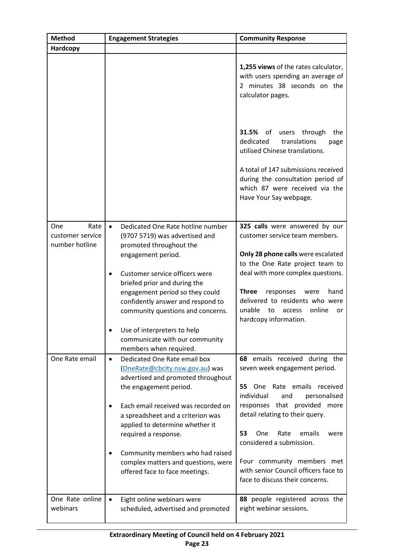| <b>Method</b>                                     | <b>Engagement Strategies</b>                                                                                                              | <b>Community Response</b>                                                                                                                       |
|---------------------------------------------------|-------------------------------------------------------------------------------------------------------------------------------------------|-------------------------------------------------------------------------------------------------------------------------------------------------|
| Hardcopy                                          |                                                                                                                                           |                                                                                                                                                 |
|                                                   |                                                                                                                                           | 1,255 views of the rates calculator,<br>with users spending an average of<br>2 minutes 38 seconds on the<br>calculator pages.                   |
|                                                   |                                                                                                                                           | 31.5%<br>users through<br>the<br>of<br>dedicated<br>translations<br>page<br>utilised Chinese translations.                                      |
|                                                   |                                                                                                                                           | A total of 147 submissions received<br>during the consultation period of<br>which 87 were received via the<br>Have Your Say webpage.            |
| Rate<br>One<br>customer service<br>number hotline | Dedicated One Rate hotline number<br>$\bullet$<br>(9707 5719) was advertised and<br>promoted throughout the                               | 325 calls were answered by our<br>customer service team members.                                                                                |
|                                                   | engagement period.                                                                                                                        | Only 28 phone calls were escalated<br>to the One Rate project team to                                                                           |
|                                                   | Customer service officers were                                                                                                            | deal with more complex questions.                                                                                                               |
|                                                   | briefed prior and during the<br>engagement period so they could<br>confidently answer and respond to<br>community questions and concerns. | <b>Three</b><br>responses<br>hand<br>were<br>delivered to residents who were<br>unable<br>online<br>to<br>access<br>or<br>hardcopy information. |
|                                                   | Use of interpreters to help<br>communicate with our community<br>members when required.                                                   |                                                                                                                                                 |
| One Rate email                                    | Dedicated One Rate email box<br>$\bullet$<br>(OneRate@cbcity.nsw.gov.au) was<br>advertised and promoted throughout                        | 68 emails received during the<br>seven week engagement period.                                                                                  |
|                                                   | the engagement period.                                                                                                                    | 55<br>One Rate emails received<br>individual<br>personalised<br>and                                                                             |
|                                                   | Each email received was recorded on<br>a spreadsheet and a criterion was<br>applied to determine whether it                               | responses that provided more<br>detail relating to their query.                                                                                 |
|                                                   | required a response.                                                                                                                      | 53<br>emails<br>One<br>Rate<br>were<br>considered a submission.                                                                                 |
|                                                   | Community members who had raised<br>complex matters and questions, were<br>offered face to face meetings.                                 | Four community members met<br>with senior Council officers face to<br>face to discuss their concerns.                                           |
| One Rate online                                   | Eight online webinars were                                                                                                                | 88 people registered across the                                                                                                                 |
| webinars                                          | scheduled, advertised and promoted                                                                                                        | eight webinar sessions.                                                                                                                         |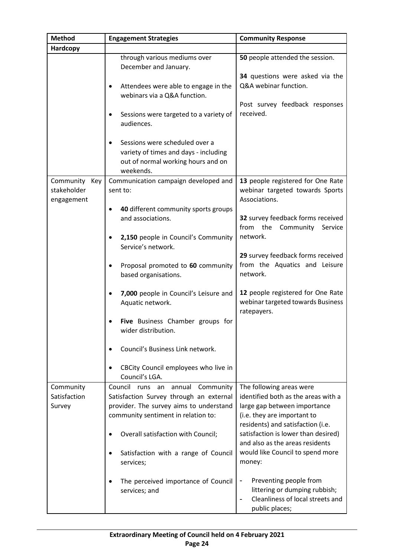| <b>Method</b>                              | <b>Engagement Strategies</b>                                                                                                                                  | <b>Community Response</b>                                                                                                                                           |
|--------------------------------------------|---------------------------------------------------------------------------------------------------------------------------------------------------------------|---------------------------------------------------------------------------------------------------------------------------------------------------------------------|
| Hardcopy                                   |                                                                                                                                                               |                                                                                                                                                                     |
|                                            | through various mediums over<br>December and January.                                                                                                         | 50 people attended the session.<br>34 questions were asked via the                                                                                                  |
|                                            | Attendees were able to engage in the<br>webinars via a Q&A function.                                                                                          | Q&A webinar function.                                                                                                                                               |
|                                            | Sessions were targeted to a variety of<br>audiences.                                                                                                          | Post survey feedback responses<br>received.                                                                                                                         |
|                                            | Sessions were scheduled over a<br>variety of times and days - including<br>out of normal working hours and on<br>weekends.                                    |                                                                                                                                                                     |
| Community Key<br>stakeholder<br>engagement | Communication campaign developed and<br>sent to:                                                                                                              | 13 people registered for One Rate<br>webinar targeted towards Sports<br>Associations.                                                                               |
|                                            | 40 different community sports groups<br>٠<br>and associations.                                                                                                | 32 survey feedback forms received<br>from<br>the<br>Community<br>Service                                                                                            |
|                                            | 2,150 people in Council's Community<br>Service's network.                                                                                                     | network.                                                                                                                                                            |
|                                            | Proposal promoted to 60 community<br>based organisations.                                                                                                     | 29 survey feedback forms received<br>from the Aquatics and Leisure<br>network.                                                                                      |
|                                            | 7,000 people in Council's Leisure and<br>Aquatic network.                                                                                                     | 12 people registered for One Rate<br>webinar targeted towards Business<br>ratepayers.                                                                               |
|                                            | Five Business Chamber groups for<br>wider distribution.                                                                                                       |                                                                                                                                                                     |
|                                            | Council's Business Link network.                                                                                                                              |                                                                                                                                                                     |
|                                            | CBCity Council employees who live in<br>Council's LGA.                                                                                                        |                                                                                                                                                                     |
| Community<br>Satisfaction<br>Survey        | Council runs an annual Community<br>Satisfaction Survey through an external<br>provider. The survey aims to understand<br>community sentiment in relation to: | The following areas were<br>identified both as the areas with a<br>large gap between importance<br>(i.e. they are important to<br>residents) and satisfaction (i.e. |
|                                            | Overall satisfaction with Council;                                                                                                                            | satisfaction is lower than desired)<br>and also as the areas residents<br>would like Council to spend more                                                          |
|                                            | Satisfaction with a range of Council<br>services;                                                                                                             | money:                                                                                                                                                              |
|                                            | The perceived importance of Council<br>services; and                                                                                                          | Preventing people from<br>-<br>littering or dumping rubbish;<br>Cleanliness of local streets and<br>public places;                                                  |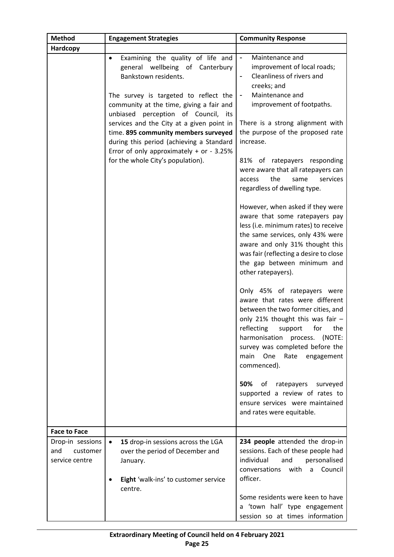| <b>Method</b>                     | <b>Engagement Strategies</b>                                                                                                                                                                                                                                                                                                                                                                                                                               | <b>Community Response</b>                                                                                                                                                                                                                                                                                                                                                                                                                                                                                                                                                                                                                                                                                                                                                                                                                                                                                                                                                                                                                                                                            |
|-----------------------------------|------------------------------------------------------------------------------------------------------------------------------------------------------------------------------------------------------------------------------------------------------------------------------------------------------------------------------------------------------------------------------------------------------------------------------------------------------------|------------------------------------------------------------------------------------------------------------------------------------------------------------------------------------------------------------------------------------------------------------------------------------------------------------------------------------------------------------------------------------------------------------------------------------------------------------------------------------------------------------------------------------------------------------------------------------------------------------------------------------------------------------------------------------------------------------------------------------------------------------------------------------------------------------------------------------------------------------------------------------------------------------------------------------------------------------------------------------------------------------------------------------------------------------------------------------------------------|
| <b>Hardcopy</b>                   |                                                                                                                                                                                                                                                                                                                                                                                                                                                            |                                                                                                                                                                                                                                                                                                                                                                                                                                                                                                                                                                                                                                                                                                                                                                                                                                                                                                                                                                                                                                                                                                      |
|                                   | Examining the quality of life and<br>$\bullet$<br>general wellbeing of Canterbury<br>Bankstown residents.<br>The survey is targeted to reflect the<br>community at the time, giving a fair and<br>unbiased perception of Council, its<br>services and the City at a given point in<br>time. 895 community members surveyed<br>during this period (achieving a Standard<br>Error of only approximately $+$ or $-3.25%$<br>for the whole City's population). | Maintenance and<br>$\blacksquare$<br>improvement of local roads;<br>Cleanliness of rivers and<br>$\blacksquare$<br>creeks; and<br>Maintenance and<br>$\blacksquare$<br>improvement of footpaths.<br>There is a strong alignment with<br>the purpose of the proposed rate<br>increase.<br>81% of ratepayers responding<br>were aware that all ratepayers can<br>the<br>access<br>same<br>services<br>regardless of dwelling type.<br>However, when asked if they were<br>aware that some ratepayers pay<br>less (i.e. minimum rates) to receive<br>the same services, only 43% were<br>aware and only 31% thought this<br>was fair (reflecting a desire to close<br>the gap between minimum and<br>other ratepayers).<br>Only 45% of ratepayers were<br>aware that rates were different<br>between the two former cities, and<br>only 21% thought this was fair $-$<br>reflecting support for the<br>harmonisation<br>process. (NOTE:<br>survey was completed before the<br>main<br>One<br>Rate<br>engagement<br>commenced).<br>50%<br>of<br>ratepayers<br>surveyed<br>supported a review of rates to |
|                                   |                                                                                                                                                                                                                                                                                                                                                                                                                                                            | ensure services were maintained<br>and rates were equitable.                                                                                                                                                                                                                                                                                                                                                                                                                                                                                                                                                                                                                                                                                                                                                                                                                                                                                                                                                                                                                                         |
| <b>Face to Face</b>               |                                                                                                                                                                                                                                                                                                                                                                                                                                                            |                                                                                                                                                                                                                                                                                                                                                                                                                                                                                                                                                                                                                                                                                                                                                                                                                                                                                                                                                                                                                                                                                                      |
| Drop-in sessions                  | 15 drop-in sessions across the LGA<br>$\bullet$                                                                                                                                                                                                                                                                                                                                                                                                            | 234 people attended the drop-in                                                                                                                                                                                                                                                                                                                                                                                                                                                                                                                                                                                                                                                                                                                                                                                                                                                                                                                                                                                                                                                                      |
| and<br>customer<br>service centre | over the period of December and<br>January.                                                                                                                                                                                                                                                                                                                                                                                                                | sessions. Each of these people had<br>individual<br>and<br>personalised<br>conversations with<br>Council<br>a                                                                                                                                                                                                                                                                                                                                                                                                                                                                                                                                                                                                                                                                                                                                                                                                                                                                                                                                                                                        |
|                                   | Eight 'walk-ins' to customer service<br>centre.                                                                                                                                                                                                                                                                                                                                                                                                            | officer.                                                                                                                                                                                                                                                                                                                                                                                                                                                                                                                                                                                                                                                                                                                                                                                                                                                                                                                                                                                                                                                                                             |
|                                   |                                                                                                                                                                                                                                                                                                                                                                                                                                                            | Some residents were keen to have<br>a 'town hall' type engagement<br>session so at times information                                                                                                                                                                                                                                                                                                                                                                                                                                                                                                                                                                                                                                                                                                                                                                                                                                                                                                                                                                                                 |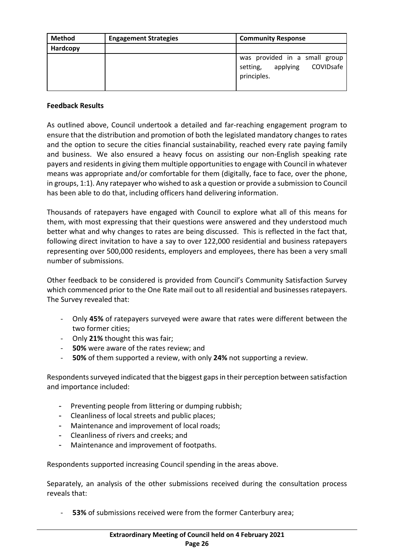| <b>Method</b> | <b>Engagement Strategies</b> | <b>Community Response</b>                                                         |
|---------------|------------------------------|-----------------------------------------------------------------------------------|
| Hardcopy      |                              |                                                                                   |
|               |                              | was provided in a small group<br>applying<br>COVIDsafe<br>setting,<br>principles. |

#### **Feedback Results**

As outlined above, Council undertook a detailed and far-reaching engagement program to ensure that the distribution and promotion of both the legislated mandatory changes to rates and the option to secure the cities financial sustainability, reached every rate paying family and business. We also ensured a heavy focus on assisting our non-English speaking rate payers and residents in giving them multiple opportunities to engage with Council in whatever means was appropriate and/or comfortable for them (digitally, face to face, over the phone, in groups, 1:1). Any ratepayer who wished to ask a question or provide a submission to Council has been able to do that, including officers hand delivering information.

Thousands of ratepayers have engaged with Council to explore what all of this means for them, with most expressing that their questions were answered and they understood much better what and why changes to rates are being discussed. This is reflected in the fact that, following direct invitation to have a say to over 122,000 residential and business ratepayers representing over 500,000 residents, employers and employees, there has been a very small number of submissions.

Other feedback to be considered is provided from Council's Community Satisfaction Survey which commenced prior to the One Rate mail out to all residential and businesses ratepayers. The Survey revealed that:

- Only **45%** of ratepayers surveyed were aware that rates were different between the two former cities;
- Only **21%** thought this was fair;
- **50%** were aware of the rates review; and
- **50%** of them supported a review, with only **24%** not supporting a review.

Respondents surveyed indicated that the biggest gaps in their perception between satisfaction and importance included:

- Preventing people from littering or dumping rubbish;
- Cleanliness of local streets and public places;
- Maintenance and improvement of local roads;
- Cleanliness of rivers and creeks; and
- Maintenance and improvement of footpaths.

Respondents supported increasing Council spending in the areas above.

Separately, an analysis of the other submissions received during the consultation process reveals that:

- **53%** of submissions received were from the former Canterbury area;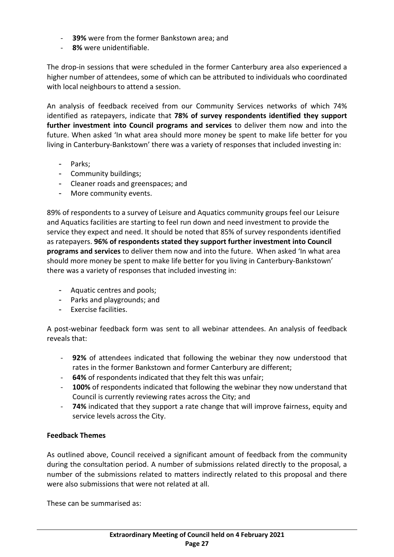- **39%** were from the former Bankstown area; and
- **8%** were unidentifiable.

The drop-in sessions that were scheduled in the former Canterbury area also experienced a higher number of attendees, some of which can be attributed to individuals who coordinated with local neighbours to attend a session.

An analysis of feedback received from our Community Services networks of which 74% identified as ratepayers, indicate that **78% of survey respondents identified they support further investment into Council programs and services** to deliver them now and into the future. When asked 'In what area should more money be spent to make life better for you living in Canterbury-Bankstown' there was a variety of responses that included investing in:

- Parks;
- Community buildings;
- Cleaner roads and greenspaces; and
- More community events.

89% of respondents to a survey of Leisure and Aquatics community groups feel our Leisure and Aquatics facilities are starting to feel run down and need investment to provide the service they expect and need. It should be noted that 85% of survey respondents identified as ratepayers. **96% of respondents stated they support further investment into Council programs and services** to deliver them now and into the future. When asked 'In what area should more money be spent to make life better for you living in Canterbury-Bankstown' there was a variety of responses that included investing in:

- Aquatic centres and pools;
- Parks and playgrounds; and
- Exercise facilities.

A post-webinar feedback form was sent to all webinar attendees. An analysis of feedback reveals that:

- **92%** of attendees indicated that following the webinar they now understood that rates in the former Bankstown and former Canterbury are different;
- **64%** of respondents indicated that they felt this was unfair;
- 100% of respondents indicated that following the webinar they now understand that Council is currently reviewing rates across the City; and
- **74%** indicated that they support a rate change that will improve fairness, equity and service levels across the City.

#### **Feedback Themes**

As outlined above, Council received a significant amount of feedback from the community during the consultation period. A number of submissions related directly to the proposal, a number of the submissions related to matters indirectly related to this proposal and there were also submissions that were not related at all.

These can be summarised as: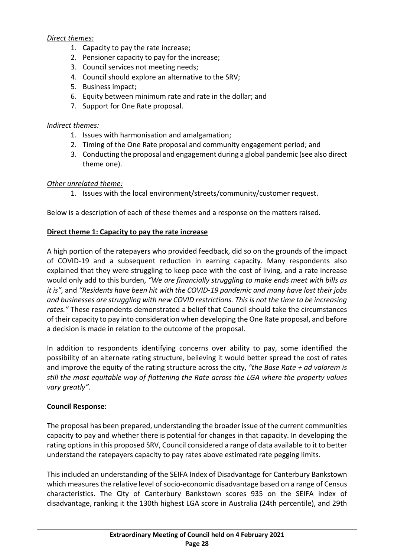## *Direct themes:*

- 1. Capacity to pay the rate increase;
- 2. Pensioner capacity to pay for the increase;
- 3. Council services not meeting needs;
- 4. Council should explore an alternative to the SRV;
- 5. Business impact;
- 6. Equity between minimum rate and rate in the dollar; and
- 7. Support for One Rate proposal.

## *Indirect themes:*

- 1. Issues with harmonisation and amalgamation;
- 2. Timing of the One Rate proposal and community engagement period; and
- 3. Conducting the proposal and engagement during a global pandemic (see also direct theme one).

# *Other unrelated theme:*

1. Issues with the local environment/streets/community/customer request.

Below is a description of each of these themes and a response on the matters raised.

## **Direct theme 1: Capacity to pay the rate increase**

A high portion of the ratepayers who provided feedback, did so on the grounds of the impact of COVID-19 and a subsequent reduction in earning capacity. Many respondents also explained that they were struggling to keep pace with the cost of living, and a rate increase would only add to this burden, *"We are financially struggling to make ends meet with bills as it is",* and *"Residents have been hit with the COVID-19 pandemic and many have lost their jobs and businesses are struggling with new COVID restrictions. This is not the time to be increasing rates."* These respondents demonstrated a belief that Council should take the circumstances of their capacity to pay into consideration when developing the One Rate proposal, and before a decision is made in relation to the outcome of the proposal.

In addition to respondents identifying concerns over ability to pay, some identified the possibility of an alternate rating structure, believing it would better spread the cost of rates and improve the equity of the rating structure across the city, *"the Base Rate + ad valorem is still the most equitable way of flattening the Rate across the LGA where the property values vary greatly".*

# **Council Response:**

The proposal has been prepared, understanding the broader issue of the current communities capacity to pay and whether there is potential for changes in that capacity. In developing the rating options in this proposed SRV, Council considered a range of data available to it to better understand the ratepayers capacity to pay rates above estimated rate pegging limits.

This included an understanding of the SEIFA Index of Disadvantage for Canterbury Bankstown which measures the relative level of socio-economic disadvantage based on a range of Census characteristics. The City of Canterbury Bankstown scores 935 on the SEIFA index of disadvantage, ranking it the 130th highest LGA score in Australia (24th percentile), and 29th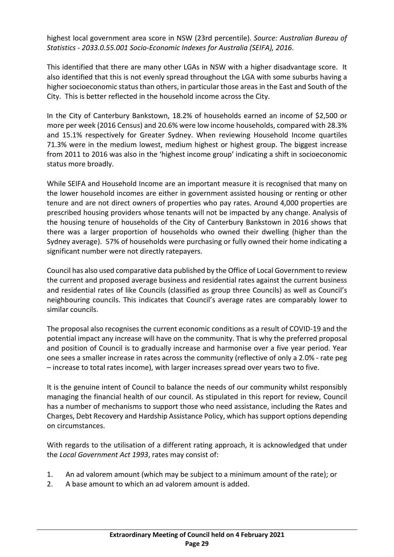highest local government area score in NSW (23rd percentile). *Source: Australian Bureau of Statistics - 2033.0.55.001 Socio-Economic Indexes for Australia (SEIFA), 2016*.

This identified that there are many other LGAs in NSW with a higher disadvantage score. It also identified that this is not evenly spread throughout the LGA with some suburbs having a higher socioeconomic status than others, in particular those areas in the East and South of the City. This is better reflected in the household income across the City.

In the City of Canterbury Bankstown, 18.2% of households earned an income of \$2,500 or more per week (2016 Census) and 20.6% were low income households, compared with 28.3% and 15.1% respectively for Greater Sydney. When reviewing Household Income quartiles 71.3% were in the medium lowest, medium highest or highest group. The biggest increase from 2011 to 2016 was also in the 'highest income group' indicating a shift in socioeconomic status more broadly.

While SEIFA and Household Income are an important measure it is recognised that many on the lower household incomes are either in government assisted housing or renting or other tenure and are not direct owners of properties who pay rates. Around 4,000 properties are prescribed housing providers whose tenants will not be impacted by any change. Analysis of the housing tenure of households of the City of Canterbury Bankstown in 2016 shows that there was a larger proportion of households who owned their dwelling (higher than the Sydney average). 57% of households were purchasing or fully owned their home indicating a significant number were not directly ratepayers.

Council has also used comparative data published by the Office of Local Government to review the current and proposed average business and residential rates against the current business and residential rates of like Councils (classified as group three Councils) as well as Council's neighbouring councils. This indicates that Council's average rates are comparably lower to similar councils.

The proposal also recognises the current economic conditions as a result of COVID-19 and the potential impact any increase will have on the community. That is why the preferred proposal and position of Council is to gradually increase and harmonise over a five year period. Year one sees a smaller increase in rates across the community (reflective of only a 2.0% - rate peg – increase to total rates income), with larger increases spread over years two to five.

It is the genuine intent of Council to balance the needs of our community whilst responsibly managing the financial health of our council. As stipulated in this report for review, Council has a number of mechanisms to support those who need assistance, including the Rates and Charges, Debt Recovery and Hardship Assistance Policy, which has support options depending on circumstances.

With regards to the utilisation of a different rating approach, it is acknowledged that under the *Local Government Act 1993*, rates may consist of:

- 1. An ad valorem amount (which may be subject to a minimum amount of the rate); or
- 2. A base amount to which an ad valorem amount is added.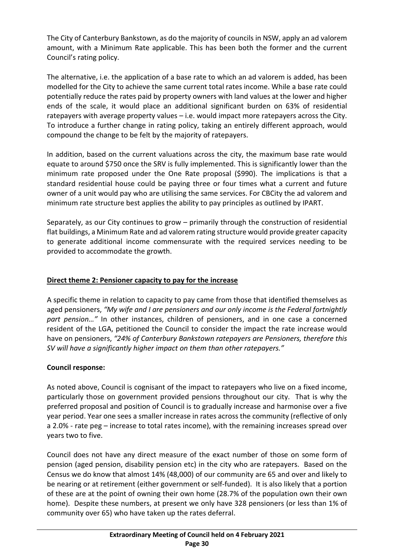The City of Canterbury Bankstown, as do the majority of councils in NSW, apply an ad valorem amount, with a Minimum Rate applicable. This has been both the former and the current Council's rating policy.

The alternative, i.e. the application of a base rate to which an ad valorem is added, has been modelled for the City to achieve the same current total rates income. While a base rate could potentially reduce the rates paid by property owners with land values at the lower and higher ends of the scale, it would place an additional significant burden on 63% of residential ratepayers with average property values – i.e. would impact more ratepayers across the City. To introduce a further change in rating policy, taking an entirely different approach, would compound the change to be felt by the majority of ratepayers.

In addition, based on the current valuations across the city, the maximum base rate would equate to around \$750 once the SRV is fully implemented. This is significantly lower than the minimum rate proposed under the One Rate proposal (\$990). The implications is that a standard residential house could be paying three or four times what a current and future owner of a unit would pay who are utilising the same services. For CBCity the ad valorem and minimum rate structure best applies the ability to pay principles as outlined by IPART.

Separately, as our City continues to grow – primarily through the construction of residential flat buildings, a Minimum Rate and ad valorem rating structure would provide greater capacity to generate additional income commensurate with the required services needing to be provided to accommodate the growth.

# **Direct theme 2: Pensioner capacity to pay for the increase**

A specific theme in relation to capacity to pay came from those that identified themselves as aged pensioners, *"My wife and I are pensioners and our only income is the Federal fortnightly part pension…"* In other instances, children of pensioners, and in one case a concerned resident of the LGA, petitioned the Council to consider the impact the rate increase would have on pensioners, *"24% of Canterbury Bankstown ratepayers are Pensioners, therefore this SV will have a significantly higher impact on them than other ratepayers."*

# **Council response:**

As noted above, Council is cognisant of the impact to ratepayers who live on a fixed income, particularly those on government provided pensions throughout our city. That is why the preferred proposal and position of Council is to gradually increase and harmonise over a five year period. Year one sees a smaller increase in rates across the community (reflective of only a 2.0% - rate peg – increase to total rates income), with the remaining increases spread over years two to five.

Council does not have any direct measure of the exact number of those on some form of pension (aged pension, disability pension etc) in the city who are ratepayers. Based on the Census we do know that almost 14% (48,000) of our community are 65 and over and likely to be nearing or at retirement (either government or self-funded). It is also likely that a portion of these are at the point of owning their own home (28.7% of the population own their own home). Despite these numbers, at present we only have 328 pensioners (or less than 1% of community over 65) who have taken up the rates deferral.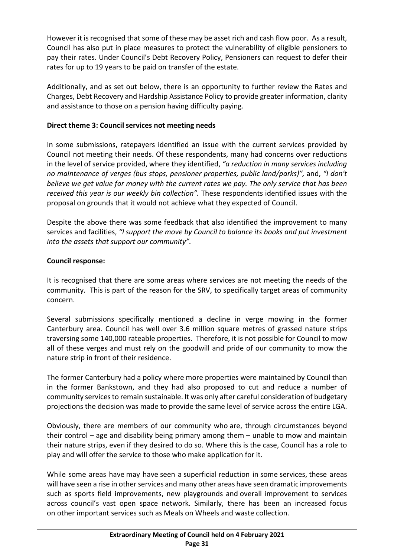However it is recognised that some of these may be asset rich and cash flow poor. As a result, Council has also put in place measures to protect the vulnerability of eligible pensioners to pay their rates. Under Council's Debt Recovery Policy, Pensioners can request to defer their rates for up to 19 years to be paid on transfer of the estate.

Additionally, and as set out below, there is an opportunity to further review the Rates and Charges, Debt Recovery and Hardship Assistance Policy to provide greater information, clarity and assistance to those on a pension having difficulty paying.

#### **Direct theme 3: Council services not meeting needs**

In some submissions, ratepayers identified an issue with the current services provided by Council not meeting their needs. Of these respondents, many had concerns over reductions in the level of service provided, where they identified, *"a reduction in many services including no maintenance of verges (bus stops, pensioner properties, public land/parks)",* and, *"I don't believe we get value for money with the current rates we pay. The only service that has been received this year is our weekly bin collection".* These respondents identified issues with the proposal on grounds that it would not achieve what they expected of Council.

Despite the above there was some feedback that also identified the improvement to many services and facilities, *"I support the move by Council to balance its books and put investment into the assets that support our community".*

# **Council response:**

It is recognised that there are some areas where services are not meeting the needs of the community. This is part of the reason for the SRV, to specifically target areas of community concern.

Several submissions specifically mentioned a decline in verge mowing in the former Canterbury area. Council has well over 3.6 million square metres of grassed nature strips traversing some 140,000 rateable properties. Therefore, it is not possible for Council to mow all of these verges and must rely on the goodwill and pride of our community to mow the nature strip in front of their residence.

The former Canterbury had a policy where more properties were maintained by Council than in the former Bankstown, and they had also proposed to cut and reduce a number of community services to remain sustainable. It was only after careful consideration of budgetary projections the decision was made to provide the same level of service across the entire LGA.

Obviously, there are members of our community who are, through circumstances beyond their control – age and disability being primary among them – unable to mow and maintain their nature strips, even if they desired to do so. Where this is the case, Council has a role to play and will offer the service to those who make application for it.

While some areas have may have seen a superficial reduction in some services, these areas will have seen a rise in other services and many other areas have seen dramatic improvements such as sports field improvements, new playgrounds and overall improvement to services across council's vast open space network. Similarly, there has been an increased focus on other important services such as Meals on Wheels and waste collection.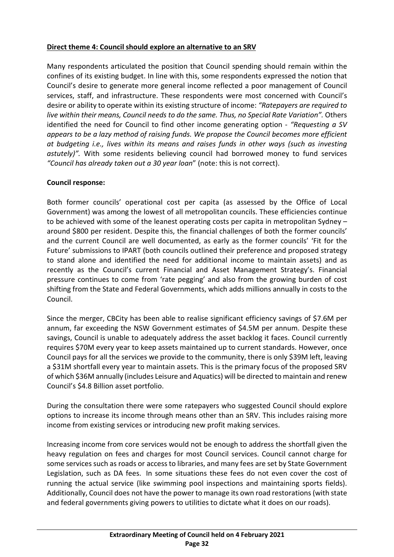#### **Direct theme 4: Council should explore an alternative to an SRV**

Many respondents articulated the position that Council spending should remain within the confines of its existing budget. In line with this, some respondents expressed the notion that Council's desire to generate more general income reflected a poor management of Council services, staff, and infrastructure. These respondents were most concerned with Council's desire or ability to operate within its existing structure of income: *"Ratepayers are required to live within their means, Council needs to do the same. Thus, no Special Rate Variation".* Others identified the need for Council to find other income generating option - *"Requesting a SV appears to be a lazy method of raising funds. We propose the Council becomes more efficient at budgeting i.e., lives within its means and raises funds in other ways (such as investing astutely)".* With some residents believing council had borrowed money to fund services *"Council has already taken out a 30 year loan*" (note: this is not correct).

## **Council response:**

Both former councils' operational cost per capita (as assessed by the Office of Local Government) was among the lowest of all metropolitan councils. These efficiencies continue to be achieved with some of the leanest operating costs per capita in metropolitan Sydney – around \$800 per resident. Despite this, the financial challenges of both the former councils' and the current Council are well documented, as early as the former councils' 'Fit for the Future' submissions to IPART (both councils outlined their preference and proposed strategy to stand alone and identified the need for additional income to maintain assets) and as recently as the Council's current Financial and Asset Management Strategy's. Financial pressure continues to come from 'rate pegging' and also from the growing burden of cost shifting from the State and Federal Governments, which adds millions annually in costs to the Council.

Since the merger, CBCity has been able to realise significant efficiency savings of \$7.6M per annum, far exceeding the NSW Government estimates of \$4.5M per annum. Despite these savings, Council is unable to adequately address the asset backlog it faces. Council currently requires \$70M every year to keep assets maintained up to current standards. However, once Council pays for all the services we provide to the community, there is only \$39M left, leaving a \$31M shortfall every year to maintain assets. This is the primary focus of the proposed SRV of which \$36M annually (includes Leisure and Aquatics) will be directed to maintain and renew Council's \$4.8 Billion asset portfolio.

During the consultation there were some ratepayers who suggested Council should explore options to increase its income through means other than an SRV. This includes raising more income from existing services or introducing new profit making services.

Increasing income from core services would not be enough to address the shortfall given the heavy regulation on fees and charges for most Council services. Council cannot charge for some services such as roads or access to libraries, and many fees are set by State Government Legislation, such as DA fees. In some situations these fees do not even cover the cost of running the actual service (like swimming pool inspections and maintaining sports fields). Additionally, Council does not have the power to manage its own road restorations (with state and federal governments giving powers to utilities to dictate what it does on our roads).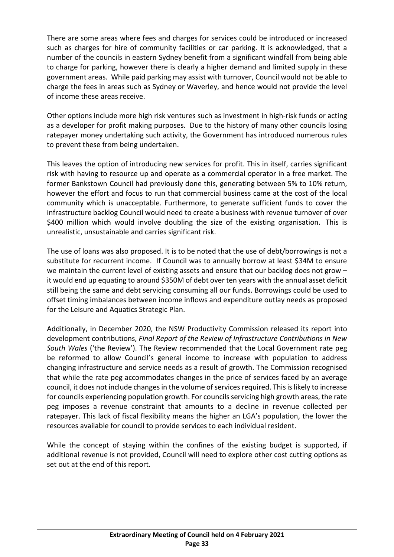There are some areas where fees and charges for services could be introduced or increased such as charges for hire of community facilities or car parking. It is acknowledged, that a number of the councils in eastern Sydney benefit from a significant windfall from being able to charge for parking, however there is clearly a higher demand and limited supply in these government areas. While paid parking may assist with turnover, Council would not be able to charge the fees in areas such as Sydney or Waverley, and hence would not provide the level of income these areas receive.

Other options include more high risk ventures such as investment in high-risk funds or acting as a developer for profit making purposes. Due to the history of many other councils losing ratepayer money undertaking such activity, the Government has introduced numerous rules to prevent these from being undertaken.

This leaves the option of introducing new services for profit. This in itself, carries significant risk with having to resource up and operate as a commercial operator in a free market. The former Bankstown Council had previously done this, generating between 5% to 10% return, however the effort and focus to run that commercial business came at the cost of the local community which is unacceptable. Furthermore, to generate sufficient funds to cover the infrastructure backlog Council would need to create a business with revenue turnover of over \$400 million which would involve doubling the size of the existing organisation. This is unrealistic, unsustainable and carries significant risk.

The use of loans was also proposed. It is to be noted that the use of debt/borrowings is not a substitute for recurrent income. If Council was to annually borrow at least \$34M to ensure we maintain the current level of existing assets and ensure that our backlog does not grow it would end up equating to around \$350M of debt over ten years with the annual asset deficit still being the same and debt servicing consuming all our funds. Borrowings could be used to offset timing imbalances between income inflows and expenditure outlay needs as proposed for the Leisure and Aquatics Strategic Plan.

Additionally, in December 2020, the NSW Productivity Commission released its report into development contributions, *Final Report of the Review of Infrastructure Contributions in New South Wales* ('the Review'). The Review recommended that the Local Government rate peg be reformed to allow Council's general income to increase with population to address changing infrastructure and service needs as a result of growth. The Commission recognised that while the rate peg accommodates changes in the price of services faced by an average council, it does not include changes in the volume of services required. This is likely to increase for councils experiencing population growth. For councils servicing high growth areas, the rate peg imposes a revenue constraint that amounts to a decline in revenue collected per ratepayer. This lack of fiscal flexibility means the higher an LGA's population, the lower the resources available for council to provide services to each individual resident.

While the concept of staying within the confines of the existing budget is supported, if additional revenue is not provided, Council will need to explore other cost cutting options as set out at the end of this report.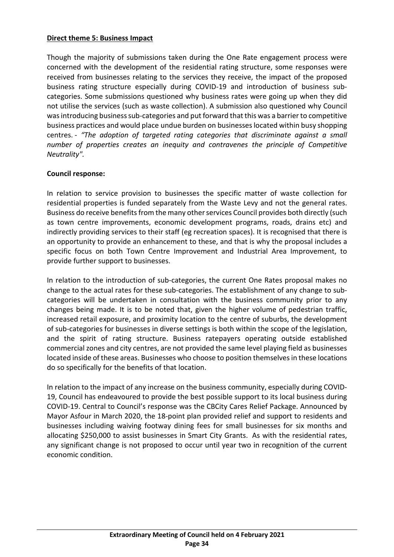#### **Direct theme 5: Business Impact**

Though the majority of submissions taken during the One Rate engagement process were concerned with the development of the residential rating structure, some responses were received from businesses relating to the services they receive, the impact of the proposed business rating structure especially during COVID-19 and introduction of business subcategories. Some submissions questioned why business rates were going up when they did not utilise the services (such as waste collection). A submission also questioned why Council was introducing business sub-categories and put forward that this was a barrier to competitive business practices and would place undue burden on businesses located within busy shopping centres. - *"The adoption of targeted rating categories that discriminate against a small number of properties creates an inequity and contravenes the principle of Competitive Neutrality".*

#### **Council response:**

In relation to service provision to businesses the specific matter of waste collection for residential properties is funded separately from the Waste Levy and not the general rates. Business do receive benefits from the many other services Council provides both directly (such as town centre improvements, economic development programs, roads, drains etc) and indirectly providing services to their staff (eg recreation spaces). It is recognised that there is an opportunity to provide an enhancement to these, and that is why the proposal includes a specific focus on both Town Centre Improvement and Industrial Area Improvement, to provide further support to businesses.

In relation to the introduction of sub-categories, the current One Rates proposal makes no change to the actual rates for these sub-categories. The establishment of any change to subcategories will be undertaken in consultation with the business community prior to any changes being made. It is to be noted that, given the higher volume of pedestrian traffic, increased retail exposure, and proximity location to the centre of suburbs, the development of sub-categories for businesses in diverse settings is both within the scope of the legislation, and the spirit of rating structure. Business ratepayers operating outside established commercial zones and city centres, are not provided the same level playing field as businesses located inside of these areas. Businesses who choose to position themselves in these locations do so specifically for the benefits of that location.

In relation to the impact of any increase on the business community, especially during COVID-19, Council has endeavoured to provide the best possible support to its local business during COVID-19. Central to Council's response was the CBCity Cares Relief Package. Announced by Mayor Asfour in March 2020, the 18-point plan provided relief and support to residents and businesses including waiving footway dining fees for small businesses for six months and allocating \$250,000 to assist businesses in Smart City Grants. As with the residential rates, any significant change is not proposed to occur until year two in recognition of the current economic condition.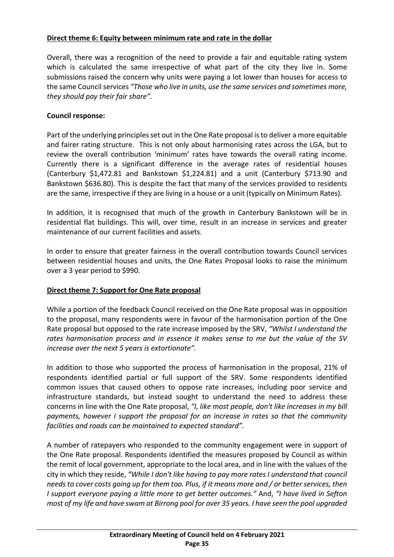## **Direct theme 6: Equity between minimum rate and rate in the dollar**

Overall, there was a recognition of the need to provide a fair and equitable rating system which is calculated the same irrespective of what part of the city they live in. Some submissions raised the concern why units were paying a lot lower than houses for access to the same Council services *"Those who live in units, use the same services and sometimes more, they should pay their fair share".*

## **Council response:**

Part of the underlying principles set out in the One Rate proposal is to deliver a more equitable and fairer rating structure. This is not only about harmonising rates across the LGA, but to review the overall contribution 'minimum' rates have towards the overall rating income. Currently there is a significant difference in the average rates of residential houses (Canterbury \$1,472.81 and Bankstown \$1,224.81) and a unit (Canterbury \$713.90 and Bankstown \$636.80). This is despite the fact that many of the services provided to residents are the same, irrespective if they are living in a house or a unit (typically on Minimum Rates).

In addition, it is recognised that much of the growth in Canterbury Bankstown will be in residential flat buildings. This will, over time, result in an increase in services and greater maintenance of our current facilities and assets.

In order to ensure that greater fairness in the overall contribution towards Council services between residential houses and units, the One Rates Proposal looks to raise the minimum over a 3 year period to \$990.

#### **Direct theme 7: Support for One Rate proposal**

While a portion of the feedback Council received on the One Rate proposal was in opposition to the proposal, many respondents were in favour of the harmonisation portion of the One Rate proposal but opposed to the rate increase imposed by the SRV, *"Whilst I understand the rates harmonisation process and in essence it makes sense to me but the value of the SV increase over the next 5 years is extortionate".* 

In addition to those who supported the process of harmonisation in the proposal, 21% of respondents identified partial or full support of the SRV. Some respondents identified common issues that caused others to oppose rate increases, including poor service and infrastructure standards, but instead sought to understand the need to address these concerns in line with the One Rate proposal, *"I, like most people, don't like increases in my bill payments, however I support the proposal for an increase in rates so that the community facilities and roads can be maintained to expected standard".* 

A number of ratepayers who responded to the community engagement were in support of the One Rate proposal. Respondents identified the measures proposed by Council as within the remit of local government, appropriate to the local area, and in line with the values of the city in which they reside, *"While I don't like having to pay more rates I understand that council needs to cover costs going up for them too. Plus, if it means more and / or better services, then I support everyone paying a little more to get better outcomes."* And, *"I have lived in Sefton most of my life and have swam at Birrong pool for over 35 years. I have seen the pool upgraded*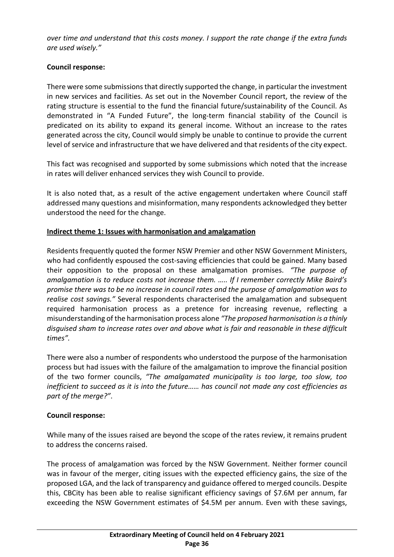*over time and understand that this costs money. I support the rate change if the extra funds are used wisely."*

## **Council response:**

There were some submissions that directly supported the change, in particular the investment in new services and facilities. As set out in the November Council report, the review of the rating structure is essential to the fund the financial future/sustainability of the Council. As demonstrated in "A Funded Future", the long-term financial stability of the Council is predicated on its ability to expand its general income. Without an increase to the rates generated across the city, Council would simply be unable to continue to provide the current level of service and infrastructure that we have delivered and that residents of the city expect.

This fact was recognised and supported by some submissions which noted that the increase in rates will deliver enhanced services they wish Council to provide.

It is also noted that, as a result of the active engagement undertaken where Council staff addressed many questions and misinformation, many respondents acknowledged they better understood the need for the change.

## **Indirect theme 1: Issues with harmonisation and amalgamation**

Residents frequently quoted the former NSW Premier and other NSW Government Ministers, who had confidently espoused the cost-saving efficiencies that could be gained. Many based their opposition to the proposal on these amalgamation promises. *"The purpose of amalgamation is to reduce costs not increase them. ….. If I remember correctly Mike Baird's promise there was to be no increase in council rates and the purpose of amalgamation was to realise cost savings."* Several respondents characterised the amalgamation and subsequent required harmonisation process as a pretence for increasing revenue, reflecting a misunderstanding of the harmonisation process alone *"The proposed harmonisation is a thinly disguised sham to increase rates over and above what is fair and reasonable in these difficult times".*

There were also a number of respondents who understood the purpose of the harmonisation process but had issues with the failure of the amalgamation to improve the financial position of the two former councils, *"The amalgamated municipality is too large, too slow, too inefficient to succeed as it is into the future…… has council not made any cost efficiencies as part of the merge?"*.

#### **Council response:**

While many of the issues raised are beyond the scope of the rates review, it remains prudent to address the concerns raised.

The process of amalgamation was forced by the NSW Government. Neither former council was in favour of the merger, citing issues with the expected efficiency gains, the size of the proposed LGA, and the lack of transparency and guidance offered to merged councils. Despite this, CBCity has been able to realise significant efficiency savings of \$7.6M per annum, far exceeding the NSW Government estimates of \$4.5M per annum. Even with these savings,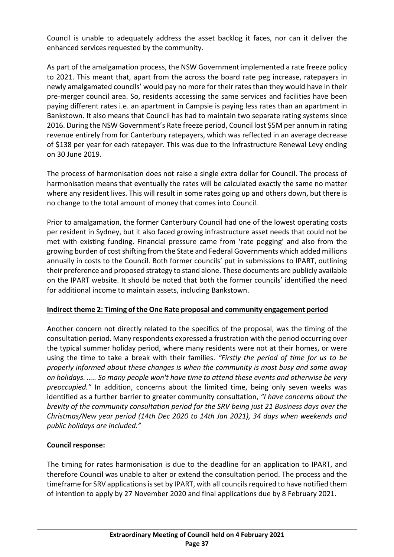Council is unable to adequately address the asset backlog it faces, nor can it deliver the enhanced services requested by the community.

As part of the amalgamation process, the NSW Government implemented a rate freeze policy to 2021. This meant that, apart from the across the board rate peg increase, ratepayers in newly amalgamated councils' would pay no more for their rates than they would have in their pre-merger council area. So, residents accessing the same services and facilities have been paying different rates i.e. an apartment in Campsie is paying less rates than an apartment in Bankstown. It also means that Council has had to maintain two separate rating systems since 2016. During the NSW Government's Rate freeze period, Council lost \$5M per annum in rating revenue entirely from for Canterbury ratepayers, which was reflected in an average decrease of \$138 per year for each ratepayer. This was due to the Infrastructure Renewal Levy ending on 30 June 2019.

The process of harmonisation does not raise a single extra dollar for Council. The process of harmonisation means that eventually the rates will be calculated exactly the same no matter where any resident lives. This will result in some rates going up and others down, but there is no change to the total amount of money that comes into Council.

Prior to amalgamation, the former Canterbury Council had one of the lowest operating costs per resident in Sydney, but it also faced growing infrastructure asset needs that could not be met with existing funding. Financial pressure came from 'rate pegging' and also from the growing burden of cost shifting from the State and Federal Governments which added millions annually in costs to the Council. Both former councils' put in submissions to IPART, outlining their preference and proposed strategy to stand alone. These documents are publicly available on the IPART website. It should be noted that both the former councils' identified the need for additional income to maintain assets, including Bankstown.

#### **Indirect theme 2: Timing of the One Rate proposal and community engagement period**

Another concern not directly related to the specifics of the proposal, was the timing of the consultation period. Many respondents expressed a frustration with the period occurring over the typical summer holiday period, where many residents were not at their homes, or were using the time to take a break with their families. *"Firstly the period of time for us to be properly informed about these changes is when the community is most busy and some away on holidays. ….. So many people won't have time to attend these events and otherwise be very preoccupied."* In addition, concerns about the limited time, being only seven weeks was identified as a further barrier to greater community consultation, *"I have concerns about the brevity of the community consultation period for the SRV being just 21 Business days over the Christmas/New year period (14th Dec 2020 to 14th Jan 2021), 34 days when weekends and public holidays are included."*

# **Council response:**

The timing for rates harmonisation is due to the deadline for an application to IPART, and therefore Council was unable to alter or extend the consultation period. The process and the timeframe for SRV applications is set by IPART, with all councils required to have notified them of intention to apply by 27 November 2020 and final applications due by 8 February 2021.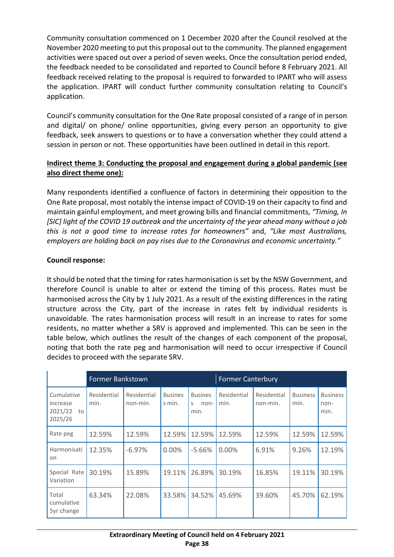Community consultation commenced on 1 December 2020 after the Council resolved at the November 2020 meeting to put this proposal out to the community. The planned engagement activities were spaced out over a period of seven weeks. Once the consultation period ended, the feedback needed to be consolidated and reported to Council before 8 February 2021. All feedback received relating to the proposal is required to forwarded to IPART who will assess the application. IPART will conduct further community consultation relating to Council's application.

Council's community consultation for the One Rate proposal consisted of a range of in person and digital/ on phone/ online opportunities, giving every person an opportunity to give feedback, seek answers to questions or to have a conversation whether they could attend a session in person or not. These opportunities have been outlined in detail in this report.

# **Indirect theme 3: Conducting the proposal and engagement during a global pandemic (see also direct theme one):**

Many respondents identified a confluence of factors in determining their opposition to the One Rate proposal, most notably the intense impact of COVID-19 on their capacity to find and maintain gainful employment, and meet growing bills and financial commitments, *"Timing, In [SIC] light of the COVID 19 outbreak and the uncertainty of the year ahead many without a job this is not a good time to increase rates for homeowners"* and, *"Like most Australians, employers are holding back on pay rises due to the Coronavirus and economic uncertainty."*

# **Council response:**

It should be noted that the timing for rates harmonisation is set by the NSW Government, and therefore Council is unable to alter or extend the timing of this process. Rates must be harmonised across the City by 1 July 2021. As a result of the existing differences in the rating structure across the City, part of the increase in rates felt by individual residents is unavoidable. The rates harmonisation process will result in an increase to rates for some residents, no matter whether a SRV is approved and implemented. This can be seen in the table below, which outlines the result of the changes of each component of the proposal, noting that both the rate peg and harmonisation will need to occur irrespective if Council decides to proceed with the separate SRV.

|                                                    | Former Bankstown    |                         |                          |                                     | <b>Former Canterbury</b> |                         |                         |                                 |
|----------------------------------------------------|---------------------|-------------------------|--------------------------|-------------------------------------|--------------------------|-------------------------|-------------------------|---------------------------------|
| Cumulative<br>increase<br>2021/22<br>to<br>2025/26 | Residential<br>min. | Residential<br>non-min. | <b>Busines</b><br>s min. | <b>Busines</b><br>S<br>non-<br>min. | Residential<br>min.      | Residential<br>non-min. | <b>Business</b><br>min. | <b>Business</b><br>non-<br>min. |
| Rate peg                                           | 12.59%              | 12.59%                  | 12.59%                   | 12.59%                              | 12.59%                   | 12.59%                  | 12.59%                  | 12.59%                          |
| Harmonisati<br>on                                  | 12.35%              | $-6.97%$                | $0.00\%$                 | -5.66%                              | $0.00\%$                 | 6.91%                   | 9.26%                   | 12.19%                          |
| Special Rate<br>Variation                          | 30.19%              | 15.89%                  | 19.11%                   | 26.89%                              | 30.19%                   | 16.85%                  | 19.11%                  | 30.19%                          |
| Total<br>cumulative<br>5yr change                  | 63.34%              | 22.08%                  | 33.58%                   | 34.52%                              | 45.69%                   | 39.60%                  | 45.70%                  | 62.19%                          |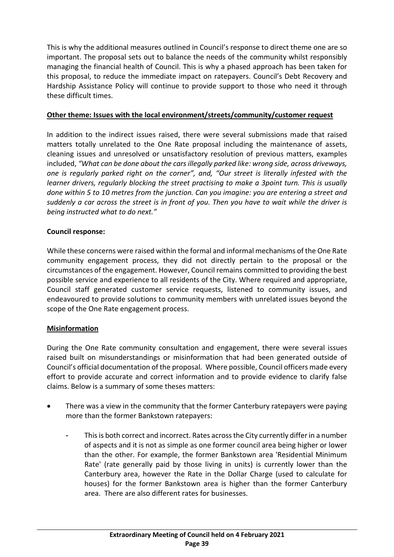This is why the additional measures outlined in Council's response to direct theme one are so important. The proposal sets out to balance the needs of the community whilst responsibly managing the financial health of Council. This is why a phased approach has been taken for this proposal, to reduce the immediate impact on ratepayers. Council's Debt Recovery and Hardship Assistance Policy will continue to provide support to those who need it through these difficult times.

#### **Other theme: Issues with the local environment/streets/community/customer request**

In addition to the indirect issues raised, there were several submissions made that raised matters totally unrelated to the One Rate proposal including the maintenance of assets, cleaning issues and unresolved or unsatisfactory resolution of previous matters, examples included, *"What can be done about the cars illegally parked like: wrong side, across driveways, one is regularly parked right on the corner", and, "Our street is literally infested with the learner drivers, regularly blocking the street practising to make a 3point turn. This is usually done within 5 to 10 metres from the junction. Can you imagine: you are entering a street and suddenly a car across the street is in front of you. Then you have to wait while the driver is being instructed what to do next."*

## **Council response:**

While these concerns were raised within the formal and informal mechanisms of the One Rate community engagement process, they did not directly pertain to the proposal or the circumstances of the engagement. However, Council remains committed to providing the best possible service and experience to all residents of the City. Where required and appropriate, Council staff generated customer service requests, listened to community issues, and endeavoured to provide solutions to community members with unrelated issues beyond the scope of the One Rate engagement process.

#### **Misinformation**

During the One Rate community consultation and engagement, there were several issues raised built on misunderstandings or misinformation that had been generated outside of Council's official documentation of the proposal. Where possible, Council officers made every effort to provide accurate and correct information and to provide evidence to clarify false claims. Below is a summary of some theses matters:

- There was a view in the community that the former Canterbury ratepayers were paying more than the former Bankstown ratepayers:
	- This is both correct and incorrect. Rates across the City currently differ in a number of aspects and it is not as simple as one former council area being higher or lower than the other. For example, the former Bankstown area 'Residential Minimum Rate' (rate generally paid by those living in units) is currently lower than the Canterbury area, however the Rate in the Dollar Charge (used to calculate for houses) for the former Bankstown area is higher than the former Canterbury area. There are also different rates for businesses.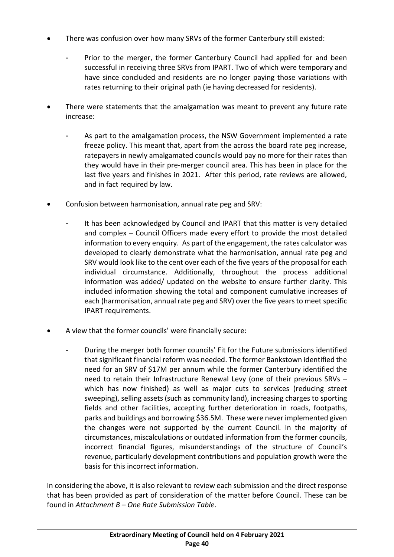- There was confusion over how many SRVs of the former Canterbury still existed:
	- Prior to the merger, the former Canterbury Council had applied for and been successful in receiving three SRVs from IPART. Two of which were temporary and have since concluded and residents are no longer paying those variations with rates returning to their original path (ie having decreased for residents).
- There were statements that the amalgamation was meant to prevent any future rate increase:
	- As part to the amalgamation process, the NSW Government implemented a rate freeze policy. This meant that, apart from the across the board rate peg increase, ratepayers in newly amalgamated councils would pay no more for their rates than they would have in their pre-merger council area. This has been in place for the last five years and finishes in 2021. After this period, rate reviews are allowed, and in fact required by law.
- Confusion between harmonisation, annual rate peg and SRV:
	- It has been acknowledged by Council and IPART that this matter is very detailed and complex – Council Officers made every effort to provide the most detailed information to every enquiry. As part of the engagement, the rates calculator was developed to clearly demonstrate what the harmonisation, annual rate peg and SRV would look like to the cent over each of the five years of the proposal for each individual circumstance. Additionally, throughout the process additional information was added/ updated on the website to ensure further clarity. This included information showing the total and component cumulative increases of each (harmonisation, annual rate peg and SRV) over the five years to meet specific IPART requirements.
- A view that the former councils' were financially secure:
	- During the merger both former councils' Fit for the Future submissions identified that significant financial reform was needed. The former Bankstown identified the need for an SRV of \$17M per annum while the former Canterbury identified the need to retain their Infrastructure Renewal Levy (one of their previous SRVs – which has now finished) as well as major cuts to services (reducing street sweeping), selling assets (such as community land), increasing charges to sporting fields and other facilities, accepting further deterioration in roads, footpaths, parks and buildings and borrowing \$36.5M. These were never implemented given the changes were not supported by the current Council. In the majority of circumstances, miscalculations or outdated information from the former councils, incorrect financial figures, misunderstandings of the structure of Council's revenue, particularly development contributions and population growth were the basis for this incorrect information.

In considering the above, it is also relevant to review each submission and the direct response that has been provided as part of consideration of the matter before Council. These can be found in *Attachment B – One Rate Submission Table*.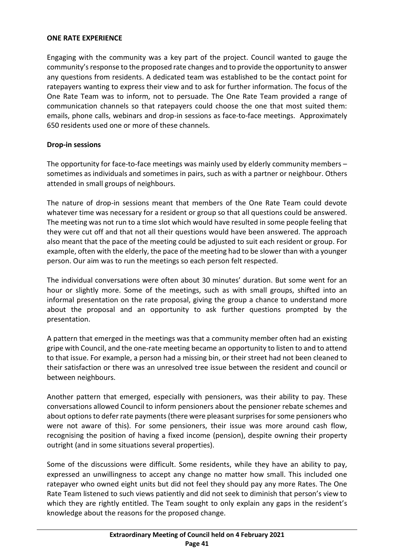#### **ONE RATE EXPERIENCE**

Engaging with the community was a key part of the project. Council wanted to gauge the community'sresponse to the proposed rate changes and to provide the opportunity to answer any questions from residents. A dedicated team was established to be the contact point for ratepayers wanting to express their view and to ask for further information. The focus of the One Rate Team was to inform, not to persuade. The One Rate Team provided a range of communication channels so that ratepayers could choose the one that most suited them: emails, phone calls, webinars and drop-in sessions as face-to-face meetings. Approximately 650 residents used one or more of these channels.

#### **Drop-in sessions**

The opportunity for face-to-face meetings was mainly used by elderly community members – sometimes as individuals and sometimes in pairs, such as with a partner or neighbour. Others attended in small groups of neighbours.

The nature of drop-in sessions meant that members of the One Rate Team could devote whatever time was necessary for a resident or group so that all questions could be answered. The meeting was not run to a time slot which would have resulted in some people feeling that they were cut off and that not all their questions would have been answered. The approach also meant that the pace of the meeting could be adjusted to suit each resident or group. For example, often with the elderly, the pace of the meeting had to be slower than with a younger person. Our aim was to run the meetings so each person felt respected.

The individual conversations were often about 30 minutes' duration. But some went for an hour or slightly more. Some of the meetings, such as with small groups, shifted into an informal presentation on the rate proposal, giving the group a chance to understand more about the proposal and an opportunity to ask further questions prompted by the presentation.

A pattern that emerged in the meetings was that a community member often had an existing gripe with Council, and the one-rate meeting became an opportunity to listen to and to attend to that issue. For example, a person had a missing bin, or their street had not been cleaned to their satisfaction or there was an unresolved tree issue between the resident and council or between neighbours.

Another pattern that emerged, especially with pensioners, was their ability to pay. These conversations allowed Council to inform pensioners about the pensioner rebate schemes and about options to defer rate payments (there were pleasant surprises for some pensioners who were not aware of this). For some pensioners, their issue was more around cash flow, recognising the position of having a fixed income (pension), despite owning their property outright (and in some situations several properties).

Some of the discussions were difficult. Some residents, while they have an ability to pay, expressed an unwillingness to accept any change no matter how small. This included one ratepayer who owned eight units but did not feel they should pay any more Rates. The One Rate Team listened to such views patiently and did not seek to diminish that person's view to which they are rightly entitled. The Team sought to only explain any gaps in the resident's knowledge about the reasons for the proposed change.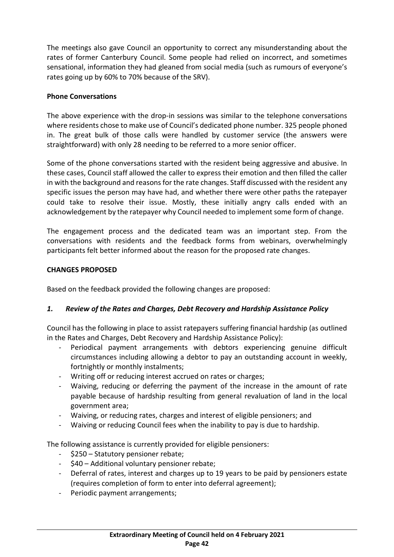The meetings also gave Council an opportunity to correct any misunderstanding about the rates of former Canterbury Council. Some people had relied on incorrect, and sometimes sensational, information they had gleaned from social media (such as rumours of everyone's rates going up by 60% to 70% because of the SRV).

#### **Phone Conversations**

The above experience with the drop-in sessions was similar to the telephone conversations where residents chose to make use of Council's dedicated phone number. 325 people phoned in. The great bulk of those calls were handled by customer service (the answers were straightforward) with only 28 needing to be referred to a more senior officer.

Some of the phone conversations started with the resident being aggressive and abusive. In these cases, Council staff allowed the caller to express their emotion and then filled the caller in with the background and reasons for the rate changes. Staff discussed with the resident any specific issues the person may have had, and whether there were other paths the ratepayer could take to resolve their issue. Mostly, these initially angry calls ended with an acknowledgement by the ratepayer why Council needed to implement some form of change.

The engagement process and the dedicated team was an important step. From the conversations with residents and the feedback forms from webinars, overwhelmingly participants felt better informed about the reason for the proposed rate changes.

## **CHANGES PROPOSED**

Based on the feedback provided the following changes are proposed:

# *1. Review of the Rates and Charges, Debt Recovery and Hardship Assistance Policy*

Council has the following in place to assist ratepayers suffering financial hardship (as outlined in the Rates and Charges, Debt Recovery and Hardship Assistance Policy):

- Periodical payment arrangements with debtors experiencing genuine difficult circumstances including allowing a debtor to pay an outstanding account in weekly, fortnightly or monthly instalments;
- Writing off or reducing interest accrued on rates or charges;
- Waiving, reducing or deferring the payment of the increase in the amount of rate payable because of hardship resulting from general revaluation of land in the local government area;
- Waiving, or reducing rates, charges and interest of eligible pensioners; and
- Waiving or reducing Council fees when the inability to pay is due to hardship.

The following assistance is currently provided for eligible pensioners:

- \$250 Statutory pensioner rebate;
- \$40 Additional voluntary pensioner rebate;
- Deferral of rates, interest and charges up to 19 years to be paid by pensioners estate (requires completion of form to enter into deferral agreement);
- Periodic payment arrangements;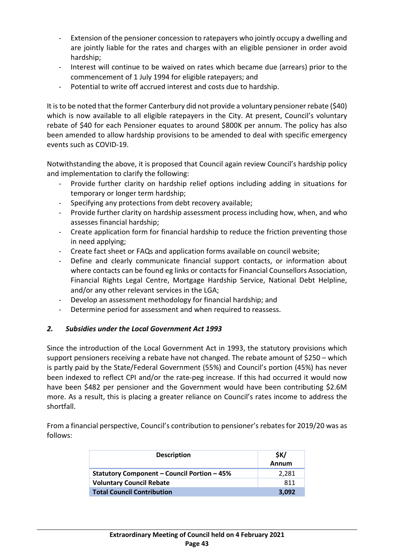- Extension of the pensioner concession to ratepayers who jointly occupy a dwelling and are jointly liable for the rates and charges with an eligible pensioner in order avoid hardship;
- Interest will continue to be waived on rates which became due (arrears) prior to the commencement of 1 July 1994 for eligible ratepayers; and
- Potential to write off accrued interest and costs due to hardship.

It is to be noted that the former Canterbury did not provide a voluntary pensioner rebate (\$40) which is now available to all eligible ratepayers in the City. At present, Council's voluntary rebate of \$40 for each Pensioner equates to around \$800K per annum. The policy has also been amended to allow hardship provisions to be amended to deal with specific emergency events such as COVID-19.

Notwithstanding the above, it is proposed that Council again review Council's hardship policy and implementation to clarify the following:

- Provide further clarity on hardship relief options including adding in situations for temporary or longer term hardship;
- Specifying any protections from debt recovery available;
- Provide further clarity on hardship assessment process including how, when, and who assesses financial hardship;
- Create application form for financial hardship to reduce the friction preventing those in need applying;
- Create fact sheet or FAQs and application forms available on council website;
- Define and clearly communicate financial support contacts, or information about where contacts can be found eg links or contacts for Financial Counsellors Association, Financial Rights Legal Centre, Mortgage Hardship Service, National Debt Helpline, and/or any other relevant services in the LGA;
- Develop an assessment methodology for financial hardship; and
- Determine period for assessment and when required to reassess.

#### *2. Subsidies under the Local Government Act 1993*

Since the introduction of the Local Government Act in 1993, the statutory provisions which support pensioners receiving a rebate have not changed. The rebate amount of \$250 – which is partly paid by the State/Federal Government (55%) and Council's portion (45%) has never been indexed to reflect CPI and/or the rate-peg increase. If this had occurred it would now have been \$482 per pensioner and the Government would have been contributing \$2.6M more. As a result, this is placing a greater reliance on Council's rates income to address the shortfall.

From a financial perspective, Council's contribution to pensioner's rebates for 2019/20 was as follows:

| <b>Description</b>                                 | \$К/  |
|----------------------------------------------------|-------|
|                                                    | Annum |
| <b>Statutory Component - Council Portion - 45%</b> | 2,281 |
| <b>Voluntary Council Rebate</b>                    | 811   |
| <b>Total Council Contribution</b>                  | 3.092 |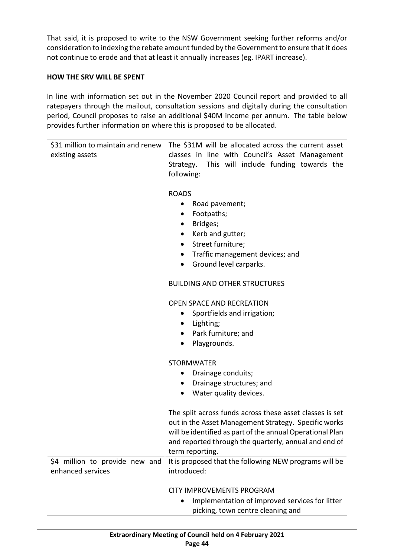That said, it is proposed to write to the NSW Government seeking further reforms and/or consideration to indexing the rebate amount funded by the Government to ensure that it does not continue to erode and that at least it annually increases (eg. IPART increase).

## **HOW THE SRV WILL BE SPENT**

In line with information set out in the November 2020 Council report and provided to all ratepayers through the mailout, consultation sessions and digitally during the consultation period, Council proposes to raise an additional \$40M income per annum. The table below provides further information on where this is proposed to be allocated.

| \$31 million to maintain and renew | The \$31M will be allocated across the current asset        |
|------------------------------------|-------------------------------------------------------------|
| existing assets                    | classes in line with Council's Asset Management             |
|                                    | Strategy. This will include funding towards the             |
|                                    | following:                                                  |
|                                    |                                                             |
|                                    | <b>ROADS</b>                                                |
|                                    | Road pavement;                                              |
|                                    | Footpaths;<br>٠                                             |
|                                    | Bridges;<br>$\bullet$                                       |
|                                    | Kerb and gutter;<br>٠                                       |
|                                    | Street furniture;<br>$\bullet$                              |
|                                    | Traffic management devices; and                             |
|                                    | Ground level carparks.<br>$\bullet$                         |
|                                    |                                                             |
|                                    | <b>BUILDING AND OTHER STRUCTURES</b>                        |
|                                    | <b>OPEN SPACE AND RECREATION</b>                            |
|                                    | Sportfields and irrigation;<br>٠                            |
|                                    | Lighting;                                                   |
|                                    | Park furniture; and                                         |
|                                    | Playgrounds.                                                |
|                                    |                                                             |
|                                    | <b>STORMWATER</b>                                           |
|                                    | Drainage conduits;                                          |
|                                    | Drainage structures; and                                    |
|                                    | Water quality devices.                                      |
|                                    |                                                             |
|                                    | The split across funds across these asset classes is set    |
|                                    | out in the Asset Management Strategy. Specific works        |
|                                    | will be identified as part of the annual Operational Plan   |
|                                    | and reported through the quarterly, annual and end of       |
|                                    | term reporting.                                             |
| \$4 million to provide new and     | It is proposed that the following NEW programs will be      |
| enhanced services                  | introduced:                                                 |
|                                    |                                                             |
|                                    | <b>CITY IMPROVEMENTS PROGRAM</b>                            |
|                                    | Implementation of improved services for litter<br>$\bullet$ |
|                                    | picking, town centre cleaning and                           |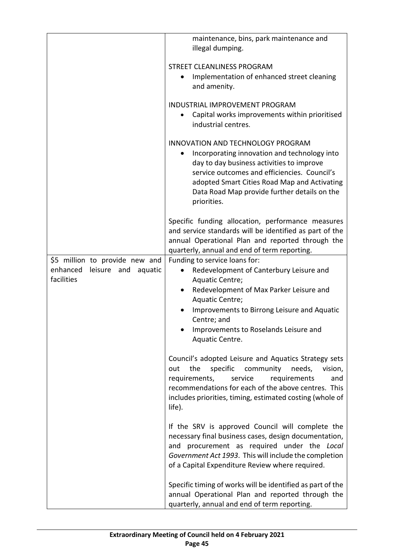|                                       | maintenance, bins, park maintenance and<br>illegal dumping.                                                                                                                                                                                                                                      |
|---------------------------------------|--------------------------------------------------------------------------------------------------------------------------------------------------------------------------------------------------------------------------------------------------------------------------------------------------|
|                                       | <b>STREET CLEANLINESS PROGRAM</b>                                                                                                                                                                                                                                                                |
|                                       | Implementation of enhanced street cleaning<br>$\bullet$                                                                                                                                                                                                                                          |
|                                       | and amenity.                                                                                                                                                                                                                                                                                     |
|                                       | <b>INDUSTRIAL IMPROVEMENT PROGRAM</b>                                                                                                                                                                                                                                                            |
|                                       | Capital works improvements within prioritised<br>industrial centres.                                                                                                                                                                                                                             |
|                                       | <b>INNOVATION AND TECHNOLOGY PROGRAM</b>                                                                                                                                                                                                                                                         |
|                                       | Incorporating innovation and technology into<br>day to day business activities to improve<br>service outcomes and efficiencies. Council's<br>adopted Smart Cities Road Map and Activating<br>Data Road Map provide further details on the<br>priorities.                                         |
|                                       | Specific funding allocation, performance measures<br>and service standards will be identified as part of the<br>annual Operational Plan and reported through the<br>quarterly, annual and end of term reporting.                                                                                 |
| \$5 million to provide new and        | Funding to service loans for:                                                                                                                                                                                                                                                                    |
| enhanced<br>leisure<br>and<br>aquatic | Redevelopment of Canterbury Leisure and<br>$\bullet$                                                                                                                                                                                                                                             |
| facilities                            | Aquatic Centre;                                                                                                                                                                                                                                                                                  |
|                                       | Redevelopment of Max Parker Leisure and<br>$\bullet$                                                                                                                                                                                                                                             |
|                                       | Aquatic Centre;                                                                                                                                                                                                                                                                                  |
|                                       | Improvements to Birrong Leisure and Aquatic<br>Centre; and                                                                                                                                                                                                                                       |
|                                       | Improvements to Roselands Leisure and<br>Aquatic Centre.                                                                                                                                                                                                                                         |
|                                       | Council's adopted Leisure and Aquatics Strategy sets<br>the<br>specific<br>community<br>needs,<br>vision,<br>out<br>service<br>requirements,<br>requirements<br>and<br>recommendations for each of the above centres. This<br>includes priorities, timing, estimated costing (whole of<br>life). |
|                                       | If the SRV is approved Council will complete the<br>necessary final business cases, design documentation,<br>and procurement as required under the Local<br>Government Act 1993. This will include the completion<br>of a Capital Expenditure Review where required.                             |
|                                       | Specific timing of works will be identified as part of the<br>annual Operational Plan and reported through the<br>quarterly, annual and end of term reporting.                                                                                                                                   |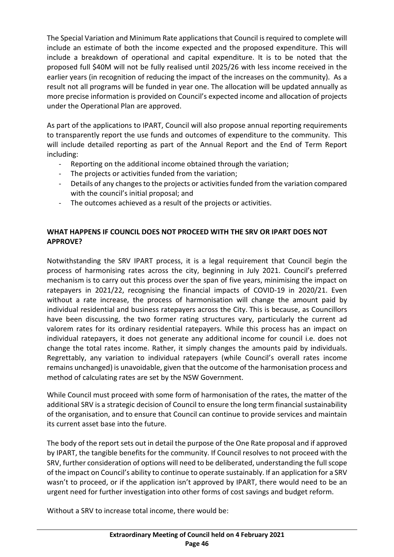The Special Variation and Minimum Rate applications that Council is required to complete will include an estimate of both the income expected and the proposed expenditure. This will include a breakdown of operational and capital expenditure. It is to be noted that the proposed full \$40M will not be fully realised until 2025/26 with less income received in the earlier years (in recognition of reducing the impact of the increases on the community). As a result not all programs will be funded in year one. The allocation will be updated annually as more precise information is provided on Council's expected income and allocation of projects under the Operational Plan are approved.

As part of the applications to IPART, Council will also propose annual reporting requirements to transparently report the use funds and outcomes of expenditure to the community. This will include detailed reporting as part of the Annual Report and the End of Term Report including:

- Reporting on the additional income obtained through the variation;
- The projects or activities funded from the variation;
- Details of any changes to the projects or activities funded from the variation compared with the council's initial proposal; and
- The outcomes achieved as a result of the projects or activities.

## **WHAT HAPPENS IF COUNCIL DOES NOT PROCEED WITH THE SRV OR IPART DOES NOT APPROVE?**

Notwithstanding the SRV IPART process, it is a legal requirement that Council begin the process of harmonising rates across the city, beginning in July 2021. Council's preferred mechanism is to carry out this process over the span of five years, minimising the impact on ratepayers in 2021/22, recognising the financial impacts of COVID-19 in 2020/21. Even without a rate increase, the process of harmonisation will change the amount paid by individual residential and business ratepayers across the City. This is because, as Councillors have been discussing, the two former rating structures vary, particularly the current ad valorem rates for its ordinary residential ratepayers. While this process has an impact on individual ratepayers, it does not generate any additional income for council i.e. does not change the total rates income. Rather, it simply changes the amounts paid by individuals. Regrettably, any variation to individual ratepayers (while Council's overall rates income remains unchanged) is unavoidable, given that the outcome of the harmonisation process and method of calculating rates are set by the NSW Government.

While Council must proceed with some form of harmonisation of the rates, the matter of the additional SRV is a strategic decision of Council to ensure the long term financial sustainability of the organisation, and to ensure that Council can continue to provide services and maintain its current asset base into the future.

The body of the report sets out in detail the purpose of the One Rate proposal and if approved by IPART, the tangible benefits for the community. If Council resolves to not proceed with the SRV, further consideration of options will need to be deliberated, understanding the full scope of the impact on Council's ability to continue to operate sustainably. If an application for a SRV wasn't to proceed, or if the application isn't approved by IPART, there would need to be an urgent need for further investigation into other forms of cost savings and budget reform.

Without a SRV to increase total income, there would be: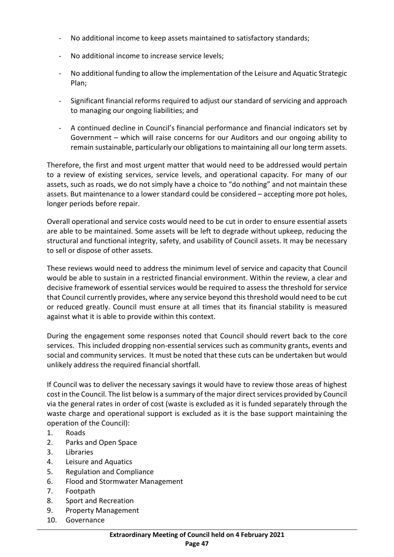- No additional income to keep assets maintained to satisfactory standards;
- No additional income to increase service levels;
- No additional funding to allow the implementation of the Leisure and Aquatic Strategic Plan;
- Significant financial reforms required to adjust our standard of servicing and approach to managing our ongoing liabilities; and
- A continued decline in Council's financial performance and financial indicators set by Government – which will raise concerns for our Auditors and our ongoing ability to remain sustainable, particularly our obligations to maintaining all our long term assets.

Therefore, the first and most urgent matter that would need to be addressed would pertain to a review of existing services, service levels, and operational capacity. For many of our assets, such as roads, we do not simply have a choice to "do nothing" and not maintain these assets. But maintenance to a lower standard could be considered – accepting more pot holes, longer periods before repair.

Overall operational and service costs would need to be cut in order to ensure essential assets are able to be maintained. Some assets will be left to degrade without upkeep, reducing the structural and functional integrity, safety, and usability of Council assets. It may be necessary to sell or dispose of other assets.

These reviews would need to address the minimum level of service and capacity that Council would be able to sustain in a restricted financial environment. Within the review, a clear and decisive framework of essential services would be required to assess the threshold for service that Council currently provides, where any service beyond this threshold would need to be cut or reduced greatly. Council must ensure at all times that its financial stability is measured against what it is able to provide within this context.

During the engagement some responses noted that Council should revert back to the core services. This included dropping non-essential services such as community grants, events and social and community services. It must be noted that these cuts can be undertaken but would unlikely address the required financial shortfall.

If Council was to deliver the necessary savings it would have to review those areas of highest cost in the Council. The list below is a summary of the major direct services provided by Council via the general rates in order of cost (waste is excluded as it is funded separately through the waste charge and operational support is excluded as it is the base support maintaining the operation of the Council):

- 1. Roads
- 2. Parks and Open Space
- 3. Libraries
- 4. Leisure and Aquatics
- 5. Regulation and Compliance
- 6. Flood and Stormwater Management
- 7. Footpath
- 8. Sport and Recreation
- 9. Property Management
- 10. Governance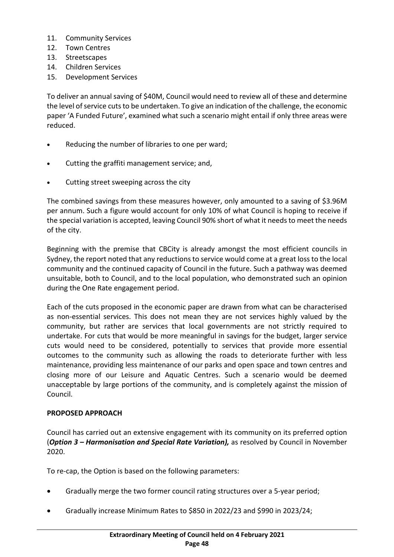- 11. Community Services
- 12. Town Centres
- 13. Streetscapes
- 14. Children Services
- 15. Development Services

To deliver an annual saving of \$40M, Council would need to review all of these and determine the level of service cuts to be undertaken. To give an indication of the challenge, the economic paper 'A Funded Future', examined what such a scenario might entail if only three areas were reduced.

- Reducing the number of libraries to one per ward;
- Cutting the graffiti management service; and,
- Cutting street sweeping across the city

The combined savings from these measures however, only amounted to a saving of \$3.96M per annum. Such a figure would account for only 10% of what Council is hoping to receive if the special variation is accepted, leaving Council 90% short of what it needs to meet the needs of the city.

Beginning with the premise that CBCity is already amongst the most efficient councils in Sydney, the report noted that any reductions to service would come at a great loss to the local community and the continued capacity of Council in the future. Such a pathway was deemed unsuitable, both to Council, and to the local population, who demonstrated such an opinion during the One Rate engagement period.

Each of the cuts proposed in the economic paper are drawn from what can be characterised as non-essential services. This does not mean they are not services highly valued by the community, but rather are services that local governments are not strictly required to undertake. For cuts that would be more meaningful in savings for the budget, larger service cuts would need to be considered, potentially to services that provide more essential outcomes to the community such as allowing the roads to deteriorate further with less maintenance, providing less maintenance of our parks and open space and town centres and closing more of our Leisure and Aquatic Centres. Such a scenario would be deemed unacceptable by large portions of the community, and is completely against the mission of Council.

# **PROPOSED APPROACH**

Council has carried out an extensive engagement with its community on its preferred option (*Option 3 – Harmonisation and Special Rate Variation),* as resolved by Council in November 2020.

To re-cap, the Option is based on the following parameters:

- Gradually merge the two former council rating structures over a 5-year period;
- Gradually increase Minimum Rates to \$850 in 2022/23 and \$990 in 2023/24;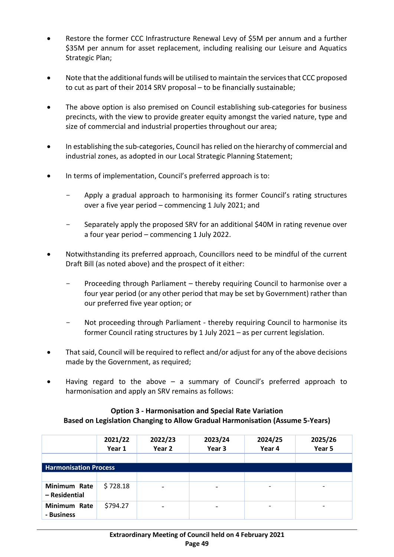- Restore the former CCC Infrastructure Renewal Levy of \$5M per annum and a further \$35M per annum for asset replacement, including realising our Leisure and Aquatics Strategic Plan;
- Note that the additional funds will be utilised to maintain the services that CCC proposed to cut as part of their 2014 SRV proposal – to be financially sustainable;
- The above option is also premised on Council establishing sub-categories for business precincts, with the view to provide greater equity amongst the varied nature, type and size of commercial and industrial properties throughout our area;
- In establishing the sub-categories, Council has relied on the hierarchy of commercial and industrial zones, as adopted in our Local Strategic Planning Statement;
- In terms of implementation, Council's preferred approach is to:
	- Apply a gradual approach to harmonising its former Council's rating structures over a five year period – commencing 1 July 2021; and
	- Separately apply the proposed SRV for an additional \$40M in rating revenue over a four year period – commencing 1 July 2022.
- Notwithstanding its preferred approach, Councillors need to be mindful of the current Draft Bill (as noted above) and the prospect of it either:
	- Proceeding through Parliament thereby requiring Council to harmonise over a four year period (or any other period that may be set by Government) rather than our preferred five year option; or
	- Not proceeding through Parliament thereby requiring Council to harmonise its former Council rating structures by 1 July 2021 – as per current legislation.
- That said, Council will be required to reflect and/or adjust for any of the above decisions made by the Government, as required;
- Having regard to the above  $-$  a summary of Council's preferred approach to harmonisation and apply an SRV remains as follows:

#### **Option 3 - Harmonisation and Special Rate Variation Based on Legislation Changing to Allow Gradual Harmonisation (Assume 5-Years)**

|                               | 2021/22<br>Year 1 | 2022/23<br>Year 2 | 2023/24<br>Year 3 | 2024/25<br>Year 4 | 2025/26<br>Year 5 |
|-------------------------------|-------------------|-------------------|-------------------|-------------------|-------------------|
|                               |                   |                   |                   |                   |                   |
| <b>Harmonisation Process</b>  |                   |                   |                   |                   |                   |
|                               |                   |                   |                   |                   |                   |
| Minimum Rate<br>- Residential | \$728.18          |                   |                   |                   |                   |
| Minimum Rate<br>- Business    | \$794.27          |                   |                   |                   |                   |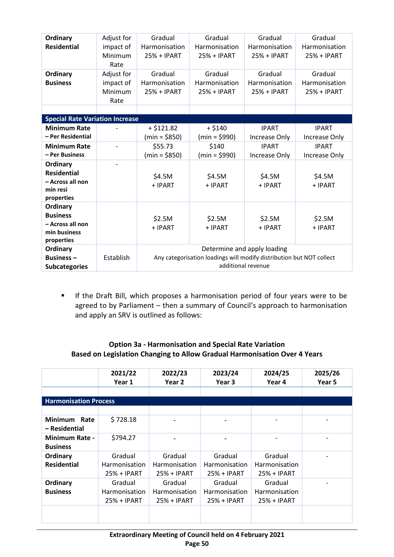| Ordinary<br><b>Residential</b>                                                                                                                                                                              | Adjust for<br>impact of<br>Minimum<br>Rate | Gradual<br>Harmonisation<br>25% + IPART                                                                                   | Gradual<br>Harmonisation<br>25% + IPART                                    | Gradual<br>Harmonisation<br>25% + IPART                                                    | Gradual<br>Harmonisation<br>25% + IPART                                             |  |
|-------------------------------------------------------------------------------------------------------------------------------------------------------------------------------------------------------------|--------------------------------------------|---------------------------------------------------------------------------------------------------------------------------|----------------------------------------------------------------------------|--------------------------------------------------------------------------------------------|-------------------------------------------------------------------------------------|--|
| Ordinary<br><b>Business</b>                                                                                                                                                                                 | Adjust for<br>impact of<br>Minimum<br>Rate | Gradual<br>Harmonisation<br>25% + IPART                                                                                   | Gradual<br>Harmonisation<br>25% + IPART                                    | Gradual<br>Harmonisation<br>25% + IPART                                                    | Gradual<br>Harmonisation<br>25% + IPART                                             |  |
|                                                                                                                                                                                                             |                                            |                                                                                                                           |                                                                            |                                                                                            |                                                                                     |  |
| <b>Special Rate Variation Increase</b><br><b>Minimum Rate</b><br>- Per Residential<br><b>Minimum Rate</b><br>- Per Business<br>Ordinary<br><b>Residential</b><br>- Across all non<br>min resi<br>properties |                                            | $+ $121.82$<br>$(min = $850)$<br>\$55.73<br>$(min = $850)$<br>\$4.5M<br>+ IPART                                           | $+ $140$<br>$(min = $990)$<br>\$140<br>$(min = $990)$<br>\$4.5M<br>+ IPART | <b>IPART</b><br>Increase Only<br><b>IPART</b><br><b>Increase Only</b><br>\$4.5M<br>+ IPART | <b>IPART</b><br>Increase Only<br><b>IPART</b><br>Increase Only<br>\$4.5M<br>+ IPART |  |
| Ordinary<br><b>Business</b><br>- Across all non<br>min business<br>properties                                                                                                                               |                                            | \$2.5M<br>+ IPART                                                                                                         | \$2.5M<br>+ IPART                                                          | \$2.5M<br>+ IPART                                                                          | \$2.5M<br>+ IPART                                                                   |  |
| Ordinary<br>Business $-$<br><b>Subcategories</b>                                                                                                                                                            | Establish                                  | Determine and apply loading<br>Any categorisation loadings will modify distribution but NOT collect<br>additional revenue |                                                                            |                                                                                            |                                                                                     |  |

**If the Draft Bill, which proposes a harmonisation period of four years were to be** agreed to by Parliament – then a summary of Council's approach to harmonisation and apply an SRV is outlined as follows:

## **Option 3a - Harmonisation and Special Rate Variation Based on Legislation Changing to Allow Gradual Harmonisation Over 4 Years**

|                                          | 2021/22<br>Year 1                       | 2022/23<br>Year 2                              | 2023/24<br>Year 3                       | 2024/25<br>Year 4                                | 2025/26<br>Year 5 |
|------------------------------------------|-----------------------------------------|------------------------------------------------|-----------------------------------------|--------------------------------------------------|-------------------|
|                                          |                                         |                                                |                                         |                                                  |                   |
| <b>Harmonisation Process</b>             |                                         |                                                |                                         |                                                  |                   |
|                                          |                                         |                                                |                                         |                                                  |                   |
| <b>Minimum</b><br>Rate<br>– Residential  | \$728.18                                |                                                |                                         |                                                  |                   |
| <b>Minimum Rate -</b><br><b>Business</b> | \$794.27                                |                                                |                                         |                                                  |                   |
| Ordinary<br><b>Residential</b>           | Gradual<br>Harmonisation<br>25% + IPART | Gradual<br><b>Harmonisation</b><br>25% + IPART | Gradual<br>Harmonisation<br>25% + IPART | Gradual<br><b>Harmonisation</b><br>25% + IPART   |                   |
| Ordinary<br><b>Business</b>              | Gradual<br>Harmonisation<br>25% + IPART | Gradual<br>Harmonisation<br>25% + IPART        | Gradual<br>Harmonisation<br>25% + IPART | Gradual<br><b>Harmonisation</b><br>$25% + IPART$ |                   |
|                                          |                                         |                                                |                                         |                                                  |                   |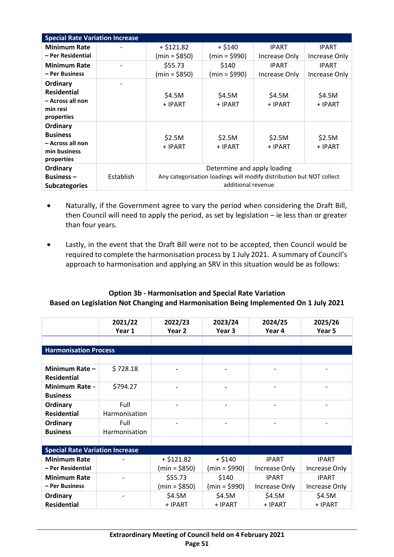| <b>Special Rate Variation Increase</b>                                        |           |                                                                                                                           |                   |                   |                   |
|-------------------------------------------------------------------------------|-----------|---------------------------------------------------------------------------------------------------------------------------|-------------------|-------------------|-------------------|
| <b>Minimum Rate</b>                                                           |           | $+ $121.82$                                                                                                               | $+ $140$          | <b>IPART</b>      | <b>IPART</b>      |
| - Per Residential                                                             |           | $(min = $850)$                                                                                                            | $(min = $990)$    | Increase Only     | Increase Only     |
| <b>Minimum Rate</b>                                                           |           | \$55.73                                                                                                                   | \$140             | <b>IPART</b>      | <b>IPART</b>      |
| – Per Business                                                                |           | $(min = $850)$                                                                                                            | $(min = $990)$    | Increase Only     | Increase Only     |
| Ordinary<br><b>Residential</b><br>- Across all non<br>min resi<br>properties  |           | \$4.5M<br>+ IPART                                                                                                         | \$4.5M<br>+ IPART | \$4.5M<br>+ IPART | \$4.5M<br>+ IPART |
| Ordinary<br><b>Business</b><br>- Across all non<br>min business<br>properties |           | \$2.5M<br>+ IPART                                                                                                         | \$2.5M<br>+ IPART | \$2.5M<br>+ IPART | \$2.5M<br>+ IPART |
| Ordinary<br><b>Business-</b><br><b>Subcategories</b>                          | Establish | Determine and apply loading<br>Any categorisation loadings will modify distribution but NOT collect<br>additional revenue |                   |                   |                   |

- Naturally, if the Government agree to vary the period when considering the Draft Bill, then Council will need to apply the period, as set by legislation – ie less than or greater than four years.
- Lastly, in the event that the Draft Bill were not to be accepted, then Council would be required to complete the harmonisation process by 1 July 2021. A summary of Council's approach to harmonisation and applying an SRV in this situation would be as follows:

## **Option 3b - Harmonisation and Special Rate Variation Based on Legislation Not Changing and Harmonisation Being Implemented On 1 July 2021**

|                                          | 2021/22<br>Year 1     | 2022/23<br>Year <sub>2</sub> | 2023/24<br>Year 3 | 2024/25<br>Year 4 | 2025/26<br>Year 5 |  |  |  |
|------------------------------------------|-----------------------|------------------------------|-------------------|-------------------|-------------------|--|--|--|
|                                          |                       |                              |                   |                   |                   |  |  |  |
| <b>Harmonisation Process</b>             |                       |                              |                   |                   |                   |  |  |  |
|                                          |                       |                              |                   |                   |                   |  |  |  |
| Minimum Rate -<br><b>Residential</b>     | \$728.18              |                              |                   |                   |                   |  |  |  |
| <b>Minimum Rate -</b><br><b>Business</b> | \$794.27              |                              |                   |                   |                   |  |  |  |
| Ordinary<br><b>Residential</b>           | Full<br>Harmonisation |                              |                   |                   |                   |  |  |  |
| Ordinary<br><b>Business</b>              | Full<br>Harmonisation | $\overline{a}$               |                   |                   |                   |  |  |  |
|                                          |                       |                              |                   |                   |                   |  |  |  |
| <b>Special Rate Variation Increase</b>   |                       |                              |                   |                   |                   |  |  |  |
| <b>Minimum Rate</b>                      |                       | $+ $121.82$                  | $+ $140$          | <b>IPART</b>      | <b>IPART</b>      |  |  |  |
| - Per Residential                        |                       | $(min = $850)$               | $(min = $990)$    | Increase Only     | Increase Only     |  |  |  |
| <b>Minimum Rate</b>                      |                       | \$55.73                      | \$140             | <b>IPART</b>      | <b>IPART</b>      |  |  |  |
| - Per Business                           |                       | $(min = $850)$               | $(min = $990)$    | Increase Only     | Increase Only     |  |  |  |
| Ordinary                                 |                       | \$4.5M                       | \$4.5M            | \$4.5M            | \$4.5M            |  |  |  |
| <b>Residential</b>                       |                       | + IPART                      | + IPART           | + IPART           | + IPART           |  |  |  |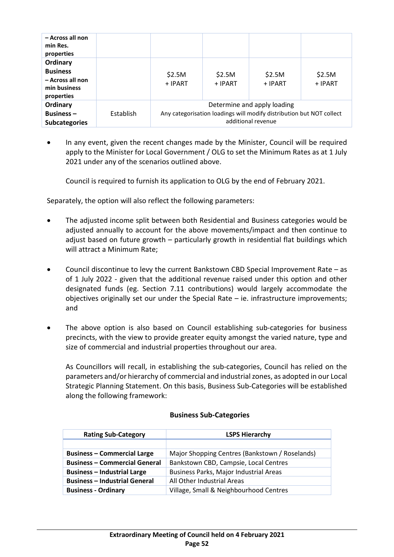| - Across all non<br>min Res.<br>properties                                    |           |                                                                                                                           |                   |                   |                   |
|-------------------------------------------------------------------------------|-----------|---------------------------------------------------------------------------------------------------------------------------|-------------------|-------------------|-------------------|
| Ordinary<br><b>Business</b><br>- Across all non<br>min business<br>properties |           | \$2.5M<br>+ IPART                                                                                                         | \$2.5M<br>+ IPART | \$2.5M<br>+ IPART | \$2.5M<br>+ IPART |
| Ordinary<br><b>Business -</b><br><b>Subcategories</b>                         | Establish | Determine and apply loading<br>Any categorisation loadings will modify distribution but NOT collect<br>additional revenue |                   |                   |                   |

• In any event, given the recent changes made by the Minister, Council will be required apply to the Minister for Local Government / OLG to set the Minimum Rates as at 1 July 2021 under any of the scenarios outlined above.

Council is required to furnish its application to OLG by the end of February 2021.

Separately, the option will also reflect the following parameters:

- The adjusted income split between both Residential and Business categories would be adjusted annually to account for the above movements/impact and then continue to adjust based on future growth – particularly growth in residential flat buildings which will attract a Minimum Rate;
- Council discontinue to levy the current Bankstown CBD Special Improvement Rate as of 1 July 2022 - given that the additional revenue raised under this option and other designated funds (eg. Section 7.11 contributions) would largely accommodate the objectives originally set our under the Special Rate – ie. infrastructure improvements; and
- The above option is also based on Council establishing sub-categories for business precincts, with the view to provide greater equity amongst the varied nature, type and size of commercial and industrial properties throughout our area.

As Councillors will recall, in establishing the sub-categories, Council has relied on the parameters and/or hierarchy of commercial and industrial zones, as adopted in our Local Strategic Planning Statement. On this basis, Business Sub-Categories will be established along the following framework:

| <b>Rating Sub-Category</b>           | <b>LSPS Hierarchy</b>                          |  |  |
|--------------------------------------|------------------------------------------------|--|--|
|                                      |                                                |  |  |
| <b>Business - Commercial Large</b>   | Major Shopping Centres (Bankstown / Roselands) |  |  |
| <b>Business - Commercial General</b> | Bankstown CBD, Campsie, Local Centres          |  |  |
| <b>Business - Industrial Large</b>   | Business Parks, Major Industrial Areas         |  |  |
| <b>Business - Industrial General</b> | All Other Industrial Areas                     |  |  |
| <b>Business - Ordinary</b>           | Village, Small & Neighbourhood Centres         |  |  |

#### **Business Sub-Categories**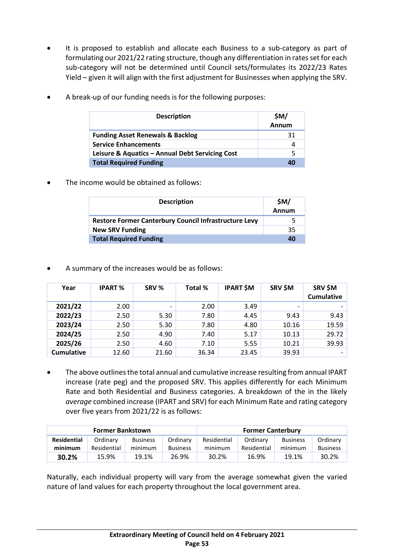It is proposed to establish and allocate each Business to a sub-category as part of formulating our 2021/22 rating structure, though any differentiation in rates set for each sub-category will not be determined until Council sets/formulates its 2022/23 Rates Yield – given it will align with the first adjustment for Businesses when applying the SRV.

| <b>Description</b>                              | \$M/<br>Annum |
|-------------------------------------------------|---------------|
| <b>Funding Asset Renewals &amp; Backlog</b>     | 31            |
| <b>Service Enhancements</b>                     |               |
| Leisure & Aquatics - Annual Debt Servicing Cost |               |
| <b>Total Required Funding</b>                   | 40            |

• A break-up of our funding needs is for the following purposes:

The income would be obtained as follows:

| <b>Description</b>                                           | \$M/<br>Annum |
|--------------------------------------------------------------|---------------|
| <b>Restore Former Canterbury Council Infrastructure Levy</b> |               |
| <b>New SRV Funding</b>                                       | 35            |
| <b>Total Required Funding</b>                                | 40            |

• A summary of the increases would be as follows:

| Year              | <b>IPART %</b> | SRV %                    | Total % | <b>IPART \$M</b> | SRV \$M                  | SRV \$M<br><b>Cumulative</b> |
|-------------------|----------------|--------------------------|---------|------------------|--------------------------|------------------------------|
| 2021/22           | 2.00           | $\overline{\phantom{0}}$ | 2.00    | 3.49             | $\overline{\phantom{a}}$ |                              |
| 2022/23           | 2.50           | 5.30                     | 7.80    | 4.45             | 9.43                     | 9.43                         |
| 2023/24           | 2.50           | 5.30                     | 7.80    | 4.80             | 10.16                    | 19.59                        |
| 2024/25           | 2.50           | 4.90                     | 7.40    | 5.17             | 10.13                    | 29.72                        |
| 2025/26           | 2.50           | 4.60                     | 7.10    | 5.55             | 10.21                    | 39.93                        |
| <b>Cumulative</b> | 12.60          | 21.60                    | 36.34   | 23.45            | 39.93                    | $\overline{\phantom{0}}$     |

• The above outlines the total annual and cumulative increase resulting from annual IPART increase (rate peg) and the proposed SRV. This applies differently for each Minimum Rate and both Residential and Business categories. A breakdown of the in the likely *average* combined increase (IPART and SRV) for each Minimum Rate and rating category over five years from 2021/22 is as follows:

| <b>Former Bankstown</b> |             |                 |                 | <b>Former Canterbury</b> |             |                 |                 |
|-------------------------|-------------|-----------------|-----------------|--------------------------|-------------|-----------------|-----------------|
| <b>Residential</b>      | Ordinary    | <b>Business</b> | Ordinary        | Residential              | Ordinary    | <b>Business</b> | Ordinary        |
| minimum                 | Residential | minimum         | <b>Business</b> | minimum                  | Residential | minimum         | <b>Business</b> |
| 30.2%                   | 15.9%       | 19.1%           | 26.9%           | 30.2%                    | 16.9%       | 19.1%           | 30.2%           |

Naturally, each individual property will vary from the average somewhat given the varied nature of land values for each property throughout the local government area.